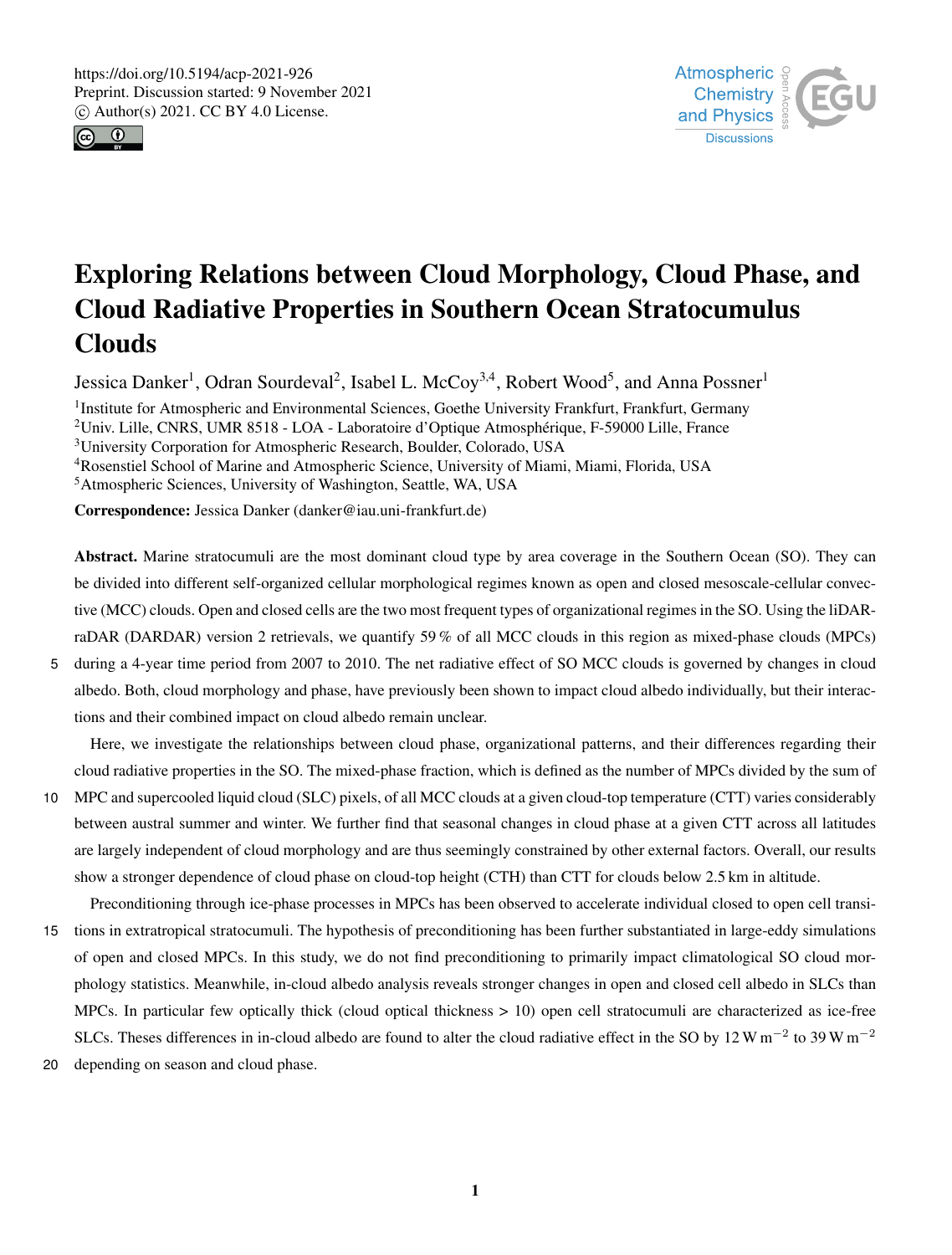



# Exploring Relations between Cloud Morphology, Cloud Phase, and Cloud Radiative Properties in Southern Ocean Stratocumulus Clouds

Jessica Danker<sup>1</sup>, Odran Sourdeval<sup>2</sup>, Isabel L. McCoy<sup>3,4</sup>, Robert Wood<sup>5</sup>, and Anna Possner<sup>1</sup>

<sup>1</sup>Institute for Atmospheric and Environmental Sciences, Goethe University Frankfurt, Frankfurt, Germany Univ. Lille, CNRS, UMR 8518 - LOA - Laboratoire d'Optique Atmosphérique, F-59000 Lille, France University Corporation for Atmospheric Research, Boulder, Colorado, USA Rosenstiel School of Marine and Atmospheric Science, University of Miami, Miami, Florida, USA

<sup>5</sup>Atmospheric Sciences, University of Washington, Seattle, WA, USA

Correspondence: Jessica Danker (danker@iau.uni-frankfurt.de)

Abstract. Marine stratocumuli are the most dominant cloud type by area coverage in the Southern Ocean (SO). They can be divided into different self-organized cellular morphological regimes known as open and closed mesoscale-cellular convective (MCC) clouds. Open and closed cells are the two most frequent types of organizational regimes in the SO. Using the liDARraDAR (DARDAR) version 2 retrievals, we quantify 59 % of all MCC clouds in this region as mixed-phase clouds (MPCs)

5 during a 4-year time period from 2007 to 2010. The net radiative effect of SO MCC clouds is governed by changes in cloud albedo. Both, cloud morphology and phase, have previously been shown to impact cloud albedo individually, but their interactions and their combined impact on cloud albedo remain unclear.

Here, we investigate the relationships between cloud phase, organizational patterns, and their differences regarding their cloud radiative properties in the SO. The mixed-phase fraction, which is defined as the number of MPCs divided by the sum of

- 10 MPC and supercooled liquid cloud (SLC) pixels, of all MCC clouds at a given cloud-top temperature (CTT) varies considerably between austral summer and winter. We further find that seasonal changes in cloud phase at a given CTT across all latitudes are largely independent of cloud morphology and are thus seemingly constrained by other external factors. Overall, our results show a stronger dependence of cloud phase on cloud-top height (CTH) than CTT for clouds below 2.5 km in altitude.
- Preconditioning through ice-phase processes in MPCs has been observed to accelerate individual closed to open cell transi-15 tions in extratropical stratocumuli. The hypothesis of preconditioning has been further substantiated in large-eddy simulations of open and closed MPCs. In this study, we do not find preconditioning to primarily impact climatological SO cloud morphology statistics. Meanwhile, in-cloud albedo analysis reveals stronger changes in open and closed cell albedo in SLCs than MPCs. In particular few optically thick (cloud optical thickness > 10) open cell stratocumuli are characterized as ice-free SLCs. Theses differences in in-cloud albedo are found to alter the cloud radiative effect in the SO by 12 W m<sup>-2</sup> to 39 W m<sup>-2</sup>
- 20 depending on season and cloud phase.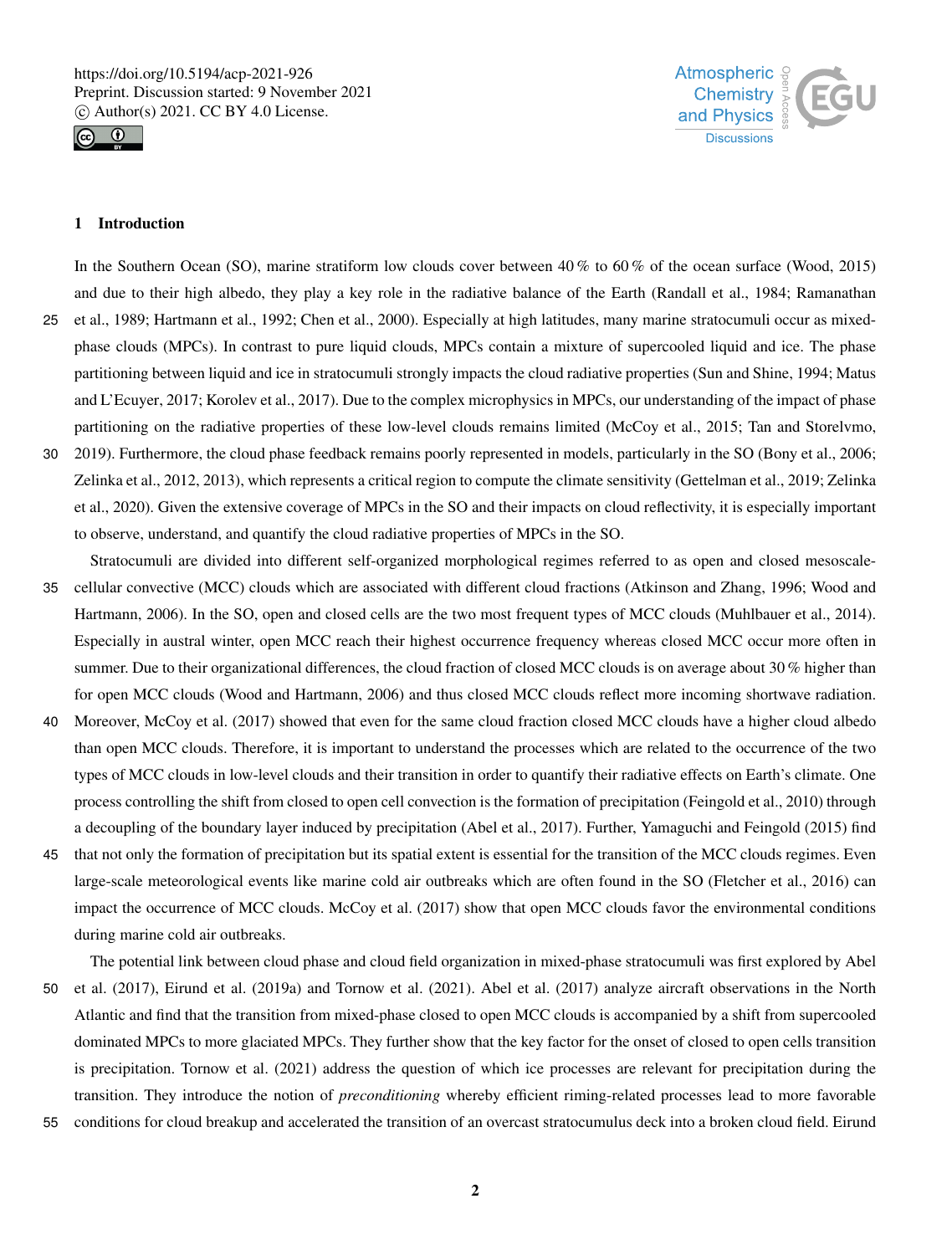



# 1 Introduction

In the Southern Ocean (SO), marine stratiform low clouds cover between 40 % to 60 % of the ocean surface (Wood, 2015) and due to their high albedo, they play a key role in the radiative balance of the Earth (Randall et al., 1984; Ramanathan 25 et al., 1989; Hartmann et al., 1992; Chen et al., 2000). Especially at high latitudes, many marine stratocumuli occur as mixedphase clouds (MPCs). In contrast to pure liquid clouds, MPCs contain a mixture of supercooled liquid and ice. The phase partitioning between liquid and ice in stratocumuli strongly impacts the cloud radiative properties (Sun and Shine, 1994; Matus and L'Ecuyer, 2017; Korolev et al., 2017). Due to the complex microphysics in MPCs, our understanding of the impact of phase partitioning on the radiative properties of these low-level clouds remains limited (McCoy et al., 2015; Tan and Storelvmo, 30 2019). Furthermore, the cloud phase feedback remains poorly represented in models, particularly in the SO (Bony et al., 2006; Zelinka et al., 2012, 2013), which represents a critical region to compute the climate sensitivity (Gettelman et al., 2019; Zelinka et al., 2020). Given the extensive coverage of MPCs in the SO and their impacts on cloud reflectivity, it is especially important

to observe, understand, and quantify the cloud radiative properties of MPCs in the SO.

- Stratocumuli are divided into different self-organized morphological regimes referred to as open and closed mesoscale-35 cellular convective (MCC) clouds which are associated with different cloud fractions (Atkinson and Zhang, 1996; Wood and Hartmann, 2006). In the SO, open and closed cells are the two most frequent types of MCC clouds (Muhlbauer et al., 2014). Especially in austral winter, open MCC reach their highest occurrence frequency whereas closed MCC occur more often in summer. Due to their organizational differences, the cloud fraction of closed MCC clouds is on average about 30 % higher than for open MCC clouds (Wood and Hartmann, 2006) and thus closed MCC clouds reflect more incoming shortwave radiation.
- 40 Moreover, McCoy et al. (2017) showed that even for the same cloud fraction closed MCC clouds have a higher cloud albedo than open MCC clouds. Therefore, it is important to understand the processes which are related to the occurrence of the two types of MCC clouds in low-level clouds and their transition in order to quantify their radiative effects on Earth's climate. One process controlling the shift from closed to open cell convection is the formation of precipitation (Feingold et al., 2010) through a decoupling of the boundary layer induced by precipitation (Abel et al., 2017). Further, Yamaguchi and Feingold (2015) find
- 45 that not only the formation of precipitation but its spatial extent is essential for the transition of the MCC clouds regimes. Even large-scale meteorological events like marine cold air outbreaks which are often found in the SO (Fletcher et al., 2016) can impact the occurrence of MCC clouds. McCoy et al. (2017) show that open MCC clouds favor the environmental conditions during marine cold air outbreaks.

The potential link between cloud phase and cloud field organization in mixed-phase stratocumuli was first explored by Abel 50 et al. (2017), Eirund et al. (2019a) and Tornow et al. (2021). Abel et al. (2017) analyze aircraft observations in the North Atlantic and find that the transition from mixed-phase closed to open MCC clouds is accompanied by a shift from supercooled dominated MPCs to more glaciated MPCs. They further show that the key factor for the onset of closed to open cells transition is precipitation. Tornow et al. (2021) address the question of which ice processes are relevant for precipitation during the transition. They introduce the notion of *preconditioning* whereby efficient riming-related processes lead to more favorable

55 conditions for cloud breakup and accelerated the transition of an overcast stratocumulus deck into a broken cloud field. Eirund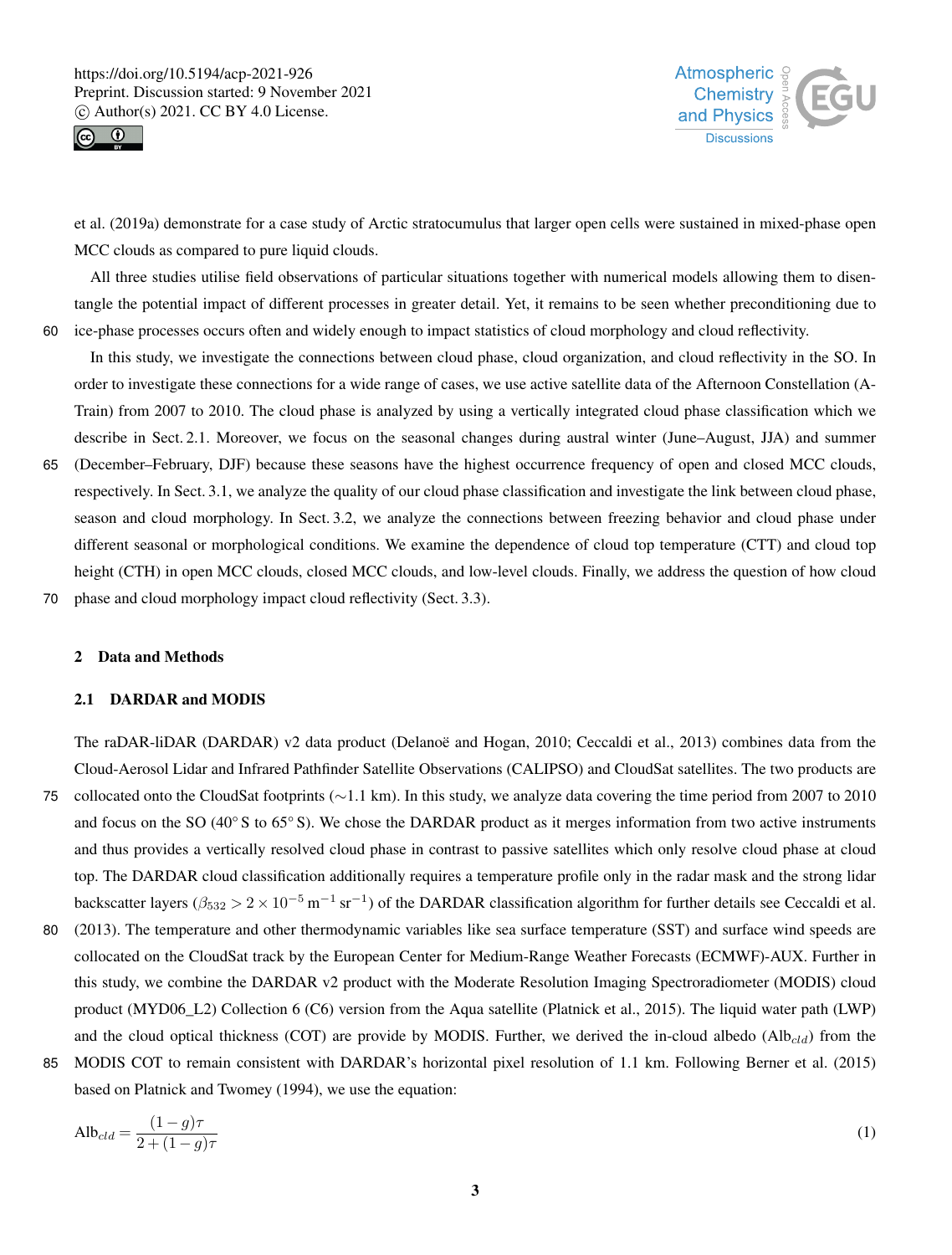



et al. (2019a) demonstrate for a case study of Arctic stratocumulus that larger open cells were sustained in mixed-phase open MCC clouds as compared to pure liquid clouds.

All three studies utilise field observations of particular situations together with numerical models allowing them to disentangle the potential impact of different processes in greater detail. Yet, it remains to be seen whether preconditioning due to 60 ice-phase processes occurs often and widely enough to impact statistics of cloud morphology and cloud reflectivity.

In this study, we investigate the connections between cloud phase, cloud organization, and cloud reflectivity in the SO. In order to investigate these connections for a wide range of cases, we use active satellite data of the Afternoon Constellation (A-Train) from 2007 to 2010. The cloud phase is analyzed by using a vertically integrated cloud phase classification which we describe in Sect. 2.1. Moreover, we focus on the seasonal changes during austral winter (June–August, JJA) and summer

65 (December–February, DJF) because these seasons have the highest occurrence frequency of open and closed MCC clouds, respectively. In Sect. 3.1, we analyze the quality of our cloud phase classification and investigate the link between cloud phase, season and cloud morphology. In Sect. 3.2, we analyze the connections between freezing behavior and cloud phase under different seasonal or morphological conditions. We examine the dependence of cloud top temperature (CTT) and cloud top height (CTH) in open MCC clouds, closed MCC clouds, and low-level clouds. Finally, we address the question of how cloud

70 phase and cloud morphology impact cloud reflectivity (Sect. 3.3).

## 2 Data and Methods

## 2.1 DARDAR and MODIS

The raDAR-liDAR (DARDAR) v2 data product (Delanoë and Hogan, 2010; Ceccaldi et al., 2013) combines data from the Cloud-Aerosol Lidar and Infrared Pathfinder Satellite Observations (CALIPSO) and CloudSat satellites. The two products are <sup>75</sup> collocated onto the CloudSat footprints (∼1.1 km). In this study, we analyze data covering the time period from 2007 to 2010 and focus on the SO (40 $\degree$  S to 65 $\degree$  S). We chose the DARDAR product as it merges information from two active instruments and thus provides a vertically resolved cloud phase in contrast to passive satellites which only resolve cloud phase at cloud top. The DARDAR cloud classification additionally requires a temperature profile only in the radar mask and the strong lidar backscatter layers ( $\beta_{532} > 2 \times 10^{-5} \text{ m}^{-1} \text{ sr}^{-1}$ ) of the DARDAR classification algorithm for further details see Ceccaldi et al.

- 80 (2013). The temperature and other thermodynamic variables like sea surface temperature (SST) and surface wind speeds are collocated on the CloudSat track by the European Center for Medium-Range Weather Forecasts (ECMWF)-AUX. Further in this study, we combine the DARDAR v2 product with the Moderate Resolution Imaging Spectroradiometer (MODIS) cloud product (MYD06\_L2) Collection 6 (C6) version from the Aqua satellite (Platnick et al., 2015). The liquid water path (LWP) and the cloud optical thickness (COT) are provide by MODIS. Further, we derived the in-cloud albedo ( $\text{Alb}_{cd}$ ) from the
- 85 MODIS COT to remain consistent with DARDAR's horizontal pixel resolution of 1.1 km. Following Berner et al. (2015) based on Platnick and Twomey (1994), we use the equation:

$$
\text{Alb}_{cld} = \frac{(1-g)\tau}{2 + (1-g)\tau} \tag{1}
$$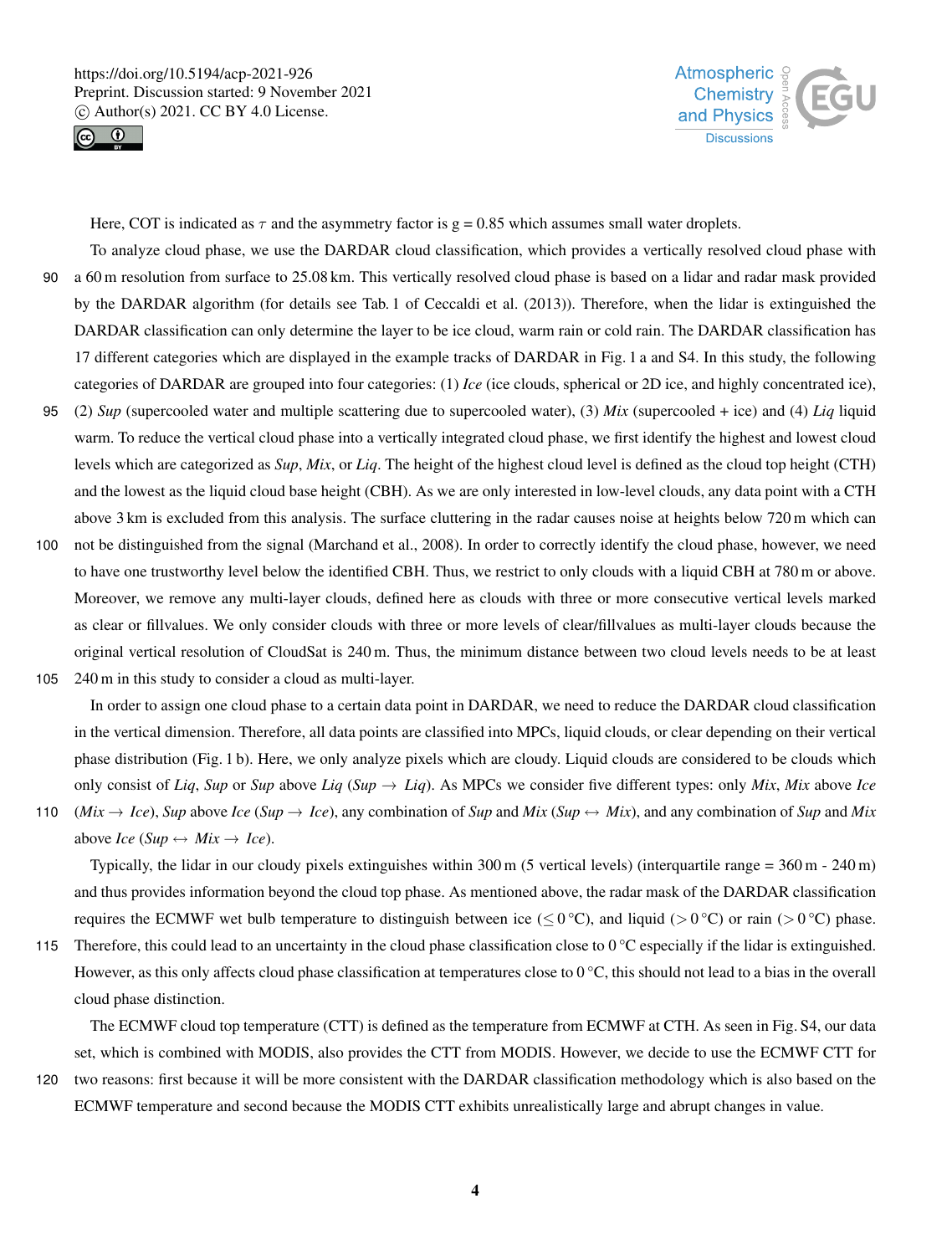



Here, COT is indicated as  $\tau$  and the asymmetry factor is g = 0.85 which assumes small water droplets.

- To analyze cloud phase, we use the DARDAR cloud classification, which provides a vertically resolved cloud phase with 90 a 60 m resolution from surface to 25.08 km. This vertically resolved cloud phase is based on a lidar and radar mask provided by the DARDAR algorithm (for details see Tab. 1 of Ceccaldi et al. (2013)). Therefore, when the lidar is extinguished the DARDAR classification can only determine the layer to be ice cloud, warm rain or cold rain. The DARDAR classification has 17 different categories which are displayed in the example tracks of DARDAR in Fig. 1 a and S4. In this study, the following categories of DARDAR are grouped into four categories: (1) *Ice* (ice clouds, spherical or 2D ice, and highly concentrated ice),
- 95 (2) *Sup* (supercooled water and multiple scattering due to supercooled water), (3) *Mix* (supercooled + ice) and (4) *Liq* liquid warm. To reduce the vertical cloud phase into a vertically integrated cloud phase, we first identify the highest and lowest cloud levels which are categorized as *Sup*, *Mix*, or *Liq*. The height of the highest cloud level is defined as the cloud top height (CTH) and the lowest as the liquid cloud base height (CBH). As we are only interested in low-level clouds, any data point with a CTH above 3 km is excluded from this analysis. The surface cluttering in the radar causes noise at heights below 720 m which can
- 100 not be distinguished from the signal (Marchand et al., 2008). In order to correctly identify the cloud phase, however, we need to have one trustworthy level below the identified CBH. Thus, we restrict to only clouds with a liquid CBH at 780 m or above. Moreover, we remove any multi-layer clouds, defined here as clouds with three or more consecutive vertical levels marked as clear or fillvalues. We only consider clouds with three or more levels of clear/fillvalues as multi-layer clouds because the original vertical resolution of CloudSat is 240 m. Thus, the minimum distance between two cloud levels needs to be at least
- 105 240 m in this study to consider a cloud as multi-layer.

In order to assign one cloud phase to a certain data point in DARDAR, we need to reduce the DARDAR cloud classification in the vertical dimension. Therefore, all data points are classified into MPCs, liquid clouds, or clear depending on their vertical phase distribution (Fig. 1 b). Here, we only analyze pixels which are cloudy. Liquid clouds are considered to be clouds which only consist of *Liq*, *Sup* or *Sup* above *Liq* (*Sup*  $\rightarrow$  *Liq*). As MPCs we consider five different types: only *Mix*, *Mix* above *Ice* 

110 (*Mix*  $\rightarrow$  *Ice*), *Sup* above *Ice* (*Sup*  $\rightarrow$  *Ice*), any combination of *Sup* and *Mix* (*Sup*  $\leftrightarrow$  *Mix*), and any combination of *Sup* and *Mix* above *Ice* (*Sup*  $\leftrightarrow$  *Mix*  $\rightarrow$  *Ice*).

Typically, the lidar in our cloudy pixels extinguishes within  $300 \text{ m}$  (5 vertical levels) (interquartile range =  $360 \text{ m}$  -  $240 \text{ m}$ ) and thus provides information beyond the cloud top phase. As mentioned above, the radar mask of the DARDAR classification requires the ECMWF wet bulb temperature to distinguish between ice ( $\leq 0^{\circ}$ C), and liquid ( $> 0^{\circ}$ C) or rain ( $> 0^{\circ}$ C) phase.

115 Therefore, this could lead to an uncertainty in the cloud phase classification close to  $0^{\circ}$ C especially if the lidar is extinguished. However, as this only affects cloud phase classification at temperatures close to 0 °C, this should not lead to a bias in the overall cloud phase distinction.

The ECMWF cloud top temperature (CTT) is defined as the temperature from ECMWF at CTH. As seen in Fig. S4, our data set, which is combined with MODIS, also provides the CTT from MODIS. However, we decide to use the ECMWF CTT for 120 two reasons: first because it will be more consistent with the DARDAR classification methodology which is also based on the

ECMWF temperature and second because the MODIS CTT exhibits unrealistically large and abrupt changes in value.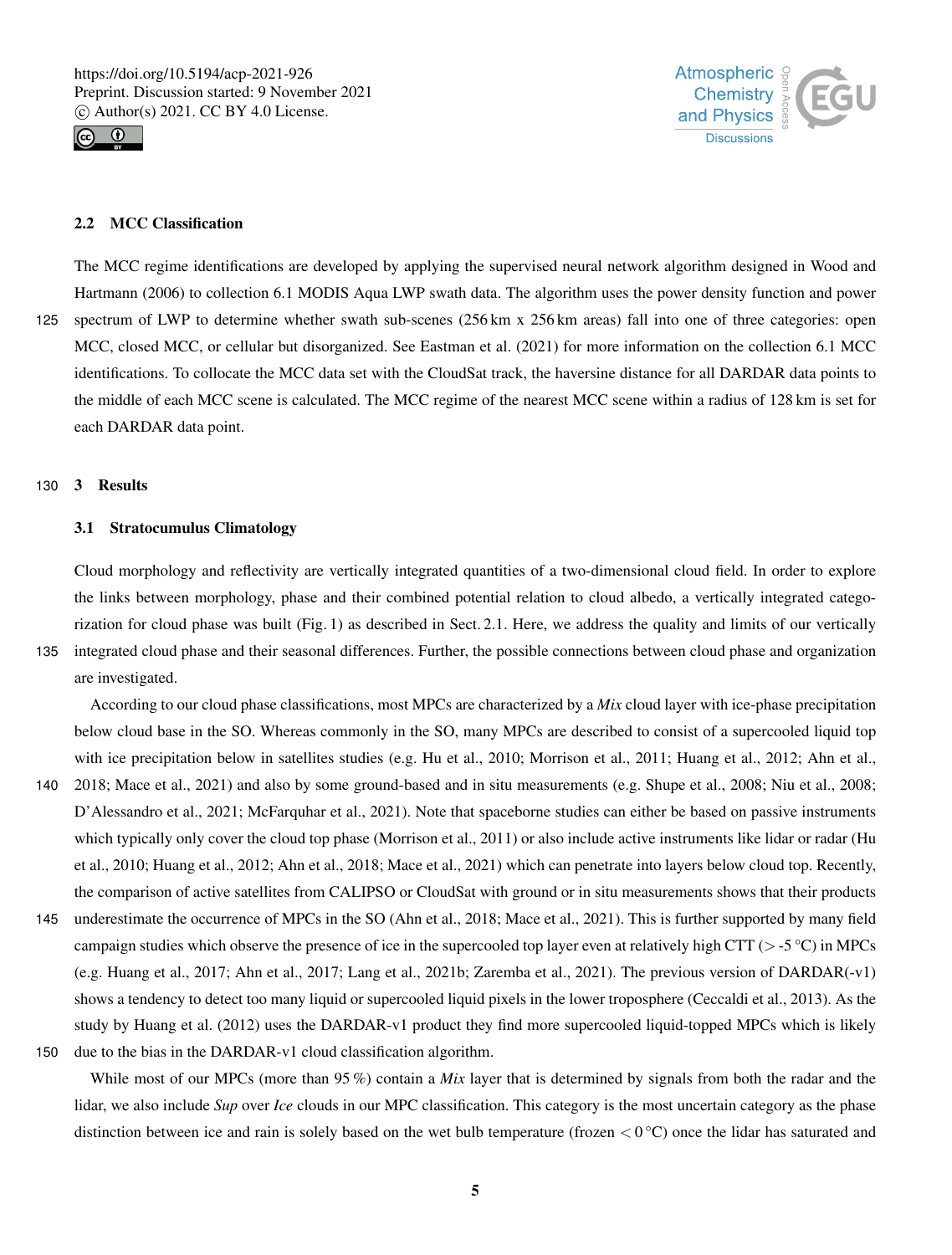



# 2.2 MCC Classification

The MCC regime identifications are developed by applying the supervised neural network algorithm designed in Wood and Hartmann (2006) to collection 6.1 MODIS Aqua LWP swath data. The algorithm uses the power density function and power 125 spectrum of LWP to determine whether swath sub-scenes (256 km x 256 km areas) fall into one of three categories: open MCC, closed MCC, or cellular but disorganized. See Eastman et al. (2021) for more information on the collection 6.1 MCC identifications. To collocate the MCC data set with the CloudSat track, the haversine distance for all DARDAR data points to the middle of each MCC scene is calculated. The MCC regime of the nearest MCC scene within a radius of 128 km is set for each DARDAR data point.

#### 130 3 Results

## 3.1 Stratocumulus Climatology

Cloud morphology and reflectivity are vertically integrated quantities of a two-dimensional cloud field. In order to explore the links between morphology, phase and their combined potential relation to cloud albedo, a vertically integrated categorization for cloud phase was built (Fig. 1) as described in Sect. 2.1. Here, we address the quality and limits of our vertically 135 integrated cloud phase and their seasonal differences. Further, the possible connections between cloud phase and organization are investigated.

According to our cloud phase classifications, most MPCs are characterized by a *Mix* cloud layer with ice-phase precipitation below cloud base in the SO. Whereas commonly in the SO, many MPCs are described to consist of a supercooled liquid top with ice precipitation below in satellites studies (e.g. Hu et al., 2010; Morrison et al., 2011; Huang et al., 2012; Ahn et al., 140 2018; Mace et al., 2021) and also by some ground-based and in situ measurements (e.g. Shupe et al., 2008; Niu et al., 2008; D'Alessandro et al., 2021; McFarquhar et al., 2021). Note that spaceborne studies can either be based on passive instruments which typically only cover the cloud top phase (Morrison et al., 2011) or also include active instruments like lidar or radar (Hu

- et al., 2010; Huang et al., 2012; Ahn et al., 2018; Mace et al., 2021) which can penetrate into layers below cloud top. Recently, the comparison of active satellites from CALIPSO or CloudSat with ground or in situ measurements shows that their products
- 145 underestimate the occurrence of MPCs in the SO (Ahn et al., 2018; Mace et al., 2021). This is further supported by many field campaign studies which observe the presence of ice in the supercooled top layer even at relatively high CTT ( $>$ -5 °C) in MPCs (e.g. Huang et al., 2017; Ahn et al., 2017; Lang et al., 2021b; Zaremba et al., 2021). The previous version of DARDAR(-v1) shows a tendency to detect too many liquid or supercooled liquid pixels in the lower troposphere (Ceccaldi et al., 2013). As the study by Huang et al. (2012) uses the DARDAR-v1 product they find more supercooled liquid-topped MPCs which is likely
- 150 due to the bias in the DARDAR-v1 cloud classification algorithm.

While most of our MPCs (more than 95%) contain a *Mix* layer that is determined by signals from both the radar and the lidar, we also include *Sup* over *Ice* clouds in our MPC classification. This category is the most uncertain category as the phase distinction between ice and rain is solely based on the wet bulb temperature (frozen  $\lt 0^\circ \text{C}$ ) once the lidar has saturated and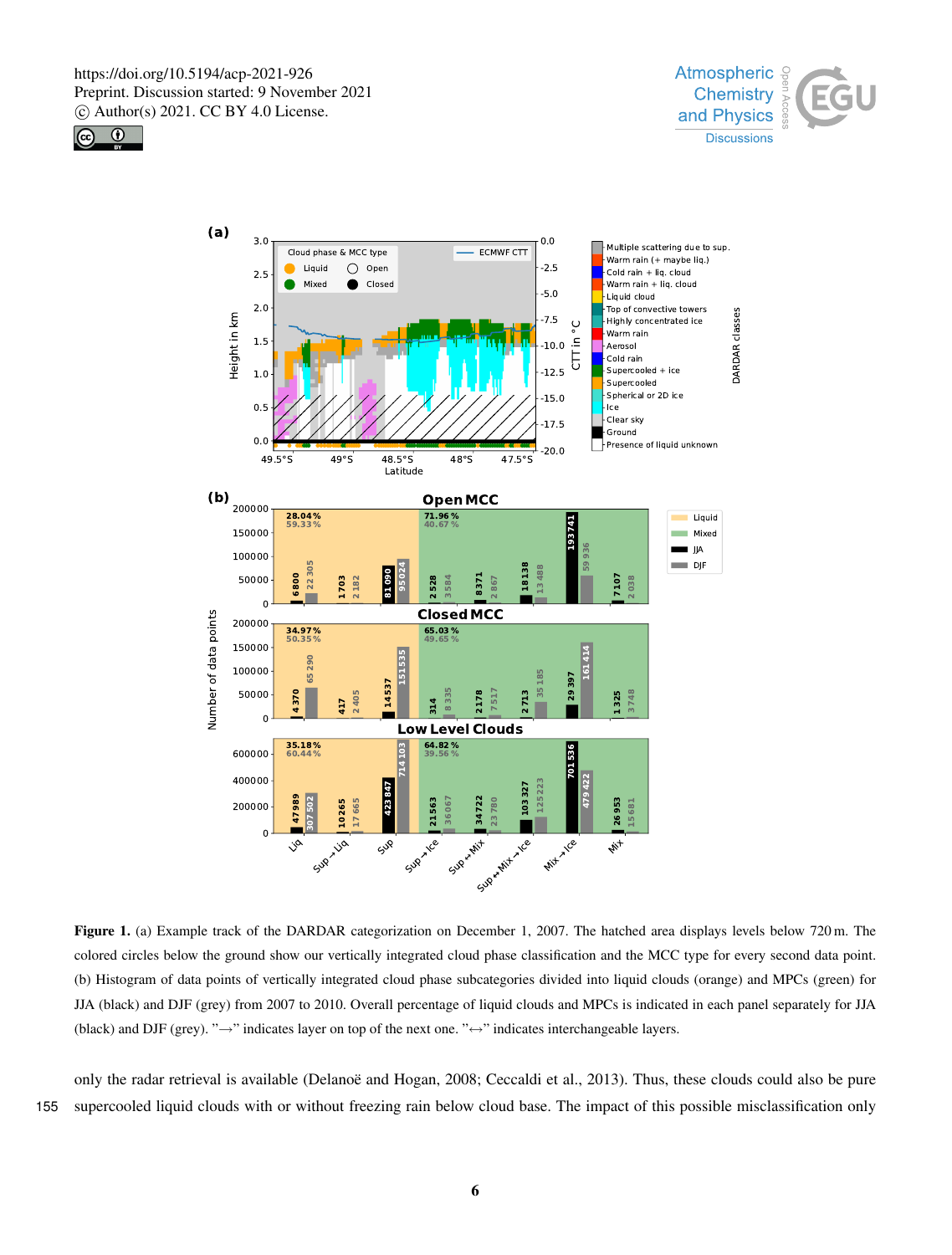





Figure 1. (a) Example track of the DARDAR categorization on December 1, 2007. The hatched area displays levels below 720 m. The colored circles below the ground show our vertically integrated cloud phase classification and the MCC type for every second data point. (b) Histogram of data points of vertically integrated cloud phase subcategories divided into liquid clouds (orange) and MPCs (green) for JJA (black) and DJF (grey) from 2007 to 2010. Overall percentage of liquid clouds and MPCs is indicated in each panel separately for JJA (black) and DJF (grey). " $\rightarrow$ " indicates layer on top of the next one. " $\leftrightarrow$ " indicates interchangeable layers.

only the radar retrieval is available (Delanoë and Hogan, 2008; Ceccaldi et al., 2013). Thus, these clouds could also be pure 155 supercooled liquid clouds with or without freezing rain below cloud base. The impact of this possible misclassification only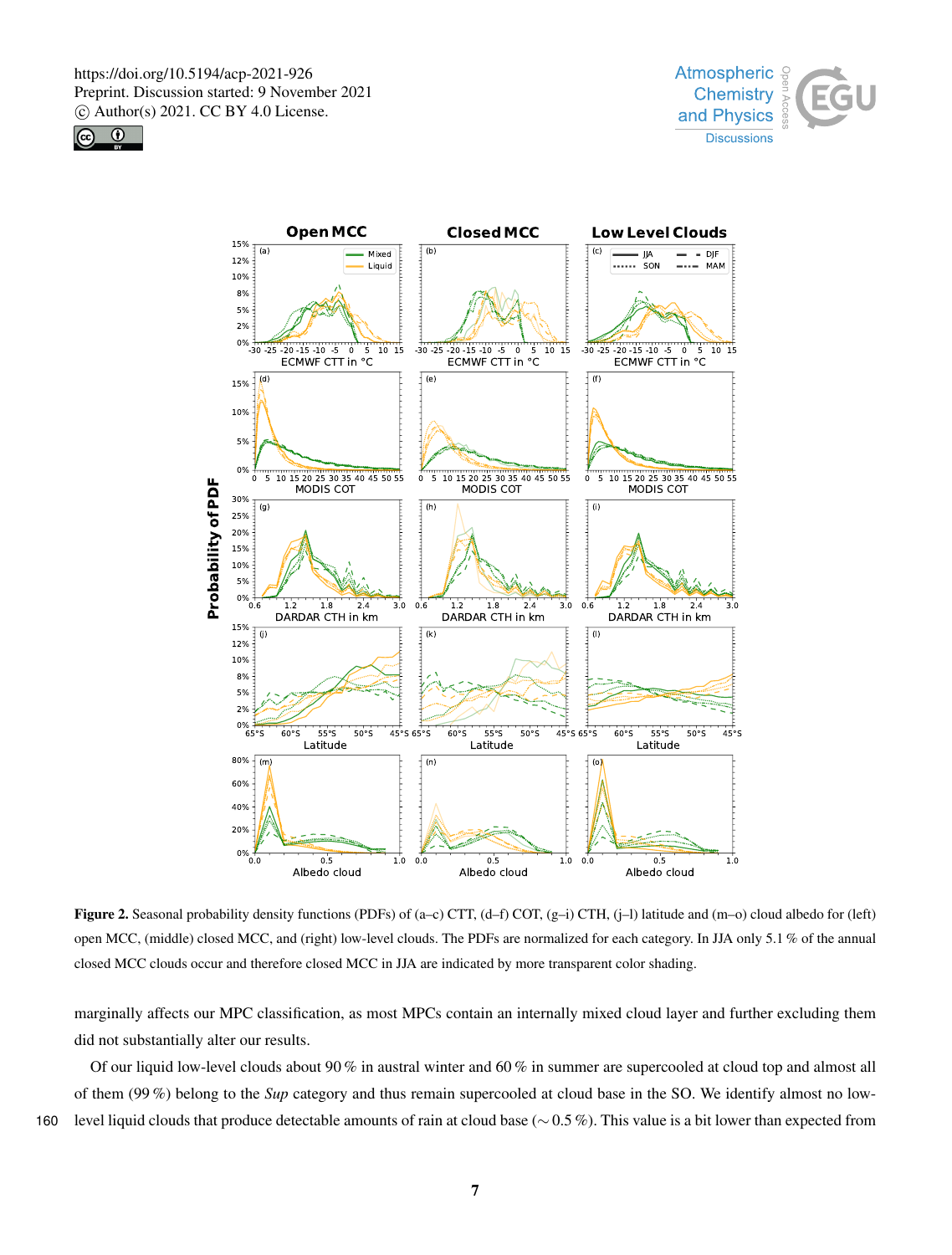





**Figure 2.** Seasonal probability density functions (PDFs) of (a–c) CTT, (d–f) COT, (g–i) CTH, (j–l) latitude and (m–o) cloud albedo for (left) open MCC, (middle) closed MCC, and (right) low-level clouds. The PDFs are normalized for each category. In JJA only 5.1 % of the annual closed MCC clouds occur and therefore closed MCC in JJA are indicated by more transparent color shading.

marginally affects our MPC classification, as most MPCs contain an internally mixed cloud layer and further excluding them did not substantially alter our results.

Of our liquid low-level clouds about 90 % in austral winter and 60 % in summer are supercooled at cloud top and almost all of them (99 %) belong to the *Sup* category and thus remain supercooled at cloud base in the SO. We identify almost no low-<sup>160</sup> level liquid clouds that produce detectable amounts of rain at cloud base (∼ 0.5 %). This value is a bit lower than expected from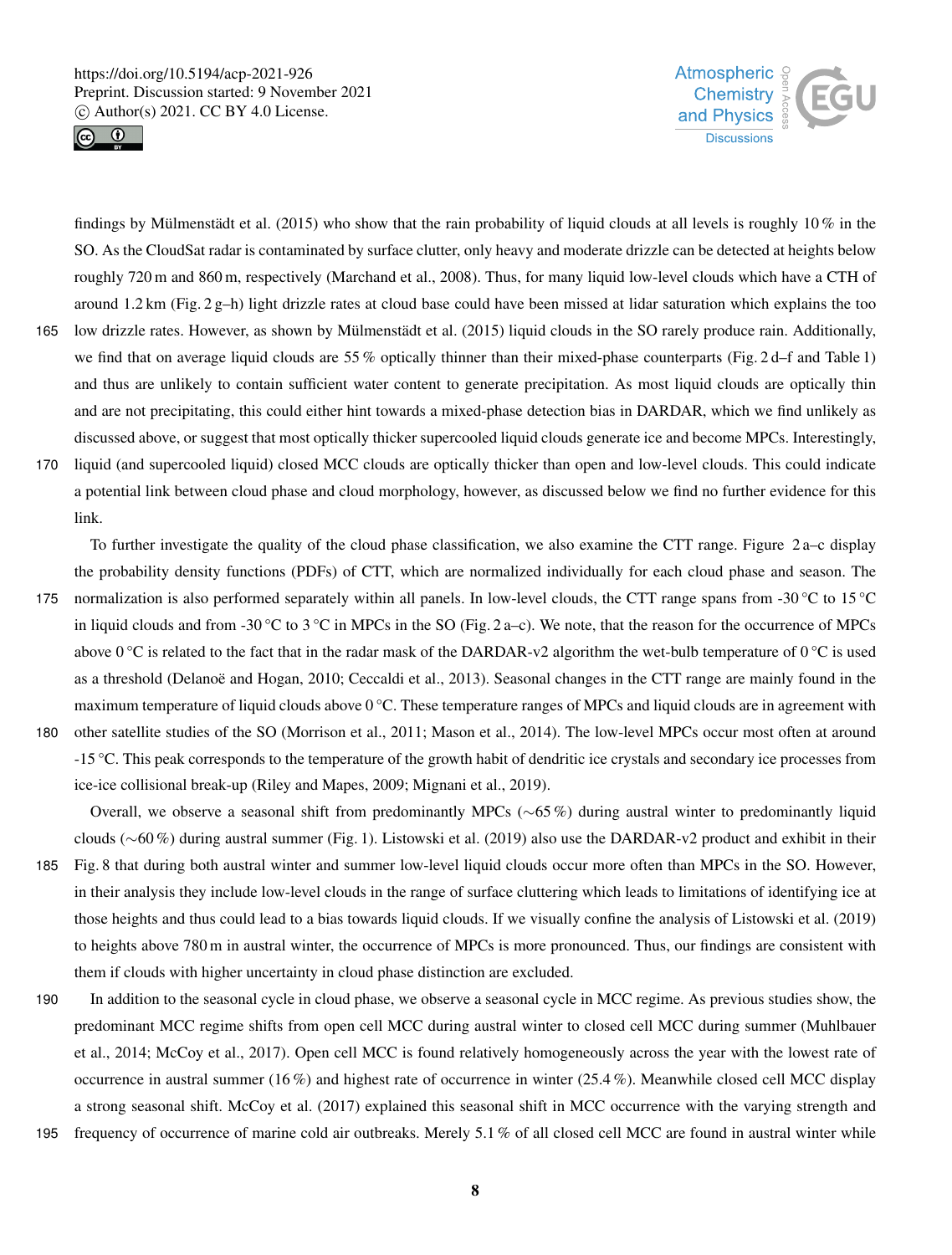



findings by Mülmenstädt et al. (2015) who show that the rain probability of liquid clouds at all levels is roughly  $10\%$  in the SO. As the CloudSat radar is contaminated by surface clutter, only heavy and moderate drizzle can be detected at heights below roughly 720 m and 860 m, respectively (Marchand et al., 2008). Thus, for many liquid low-level clouds which have a CTH of around 1.2 km (Fig. 2 g–h) light drizzle rates at cloud base could have been missed at lidar saturation which explains the too

165 low drizzle rates. However, as shown by Mülmenstädt et al. (2015) liquid clouds in the SO rarely produce rain. Additionally, we find that on average liquid clouds are 55% optically thinner than their mixed-phase counterparts (Fig. 2 d–f and Table 1) and thus are unlikely to contain sufficient water content to generate precipitation. As most liquid clouds are optically thin and are not precipitating, this could either hint towards a mixed-phase detection bias in DARDAR, which we find unlikely as discussed above, or suggest that most optically thicker supercooled liquid clouds generate ice and become MPCs. Interestingly,

170 liquid (and supercooled liquid) closed MCC clouds are optically thicker than open and low-level clouds. This could indicate a potential link between cloud phase and cloud morphology, however, as discussed below we find no further evidence for this link.

To further investigate the quality of the cloud phase classification, we also examine the CTT range. Figure 2 a–c display the probability density functions (PDFs) of CTT, which are normalized individually for each cloud phase and season. The 175 normalization is also performed separately within all panels. In low-level clouds, the CTT range spans from -30 °C to 15 °C

- in liquid clouds and from -30 °C to 3 °C in MPCs in the SO (Fig. 2 a–c). We note, that the reason for the occurrence of MPCs above  $0^{\circ}$ C is related to the fact that in the radar mask of the DARDAR-v2 algorithm the wet-bulb temperature of  $0^{\circ}$ C is used as a threshold (Delanoë and Hogan, 2010; Ceccaldi et al., 2013). Seasonal changes in the CTT range are mainly found in the maximum temperature of liquid clouds above 0 °C. These temperature ranges of MPCs and liquid clouds are in agreement with 180 other satellite studies of the SO (Morrison et al., 2011; Mason et al., 2014). The low-level MPCs occur most often at around
- -15 °C. This peak corresponds to the temperature of the growth habit of dendritic ice crystals and secondary ice processes from ice-ice collisional break-up (Riley and Mapes, 2009; Mignani et al., 2019).
- Overall, we observe a seasonal shift from predominantly MPCs (∼65 %) during austral winter to predominantly liquid clouds (∼60 %) during austral summer (Fig. 1). Listowski et al. (2019) also use the DARDAR-v2 product and exhibit in their 185 Fig. 8 that during both austral winter and summer low-level liquid clouds occur more often than MPCs in the SO. However, in their analysis they include low-level clouds in the range of surface cluttering which leads to limitations of identifying ice at those heights and thus could lead to a bias towards liquid clouds. If we visually confine the analysis of Listowski et al. (2019) to heights above 780 m in austral winter, the occurrence of MPCs is more pronounced. Thus, our findings are consistent with them if clouds with higher uncertainty in cloud phase distinction are excluded.
- 190 In addition to the seasonal cycle in cloud phase, we observe a seasonal cycle in MCC regime. As previous studies show, the predominant MCC regime shifts from open cell MCC during austral winter to closed cell MCC during summer (Muhlbauer et al., 2014; McCoy et al., 2017). Open cell MCC is found relatively homogeneously across the year with the lowest rate of occurrence in austral summer (16 %) and highest rate of occurrence in winter (25.4 %). Meanwhile closed cell MCC display a strong seasonal shift. McCoy et al. (2017) explained this seasonal shift in MCC occurrence with the varying strength and
- 195 frequency of occurrence of marine cold air outbreaks. Merely 5.1 % of all closed cell MCC are found in austral winter while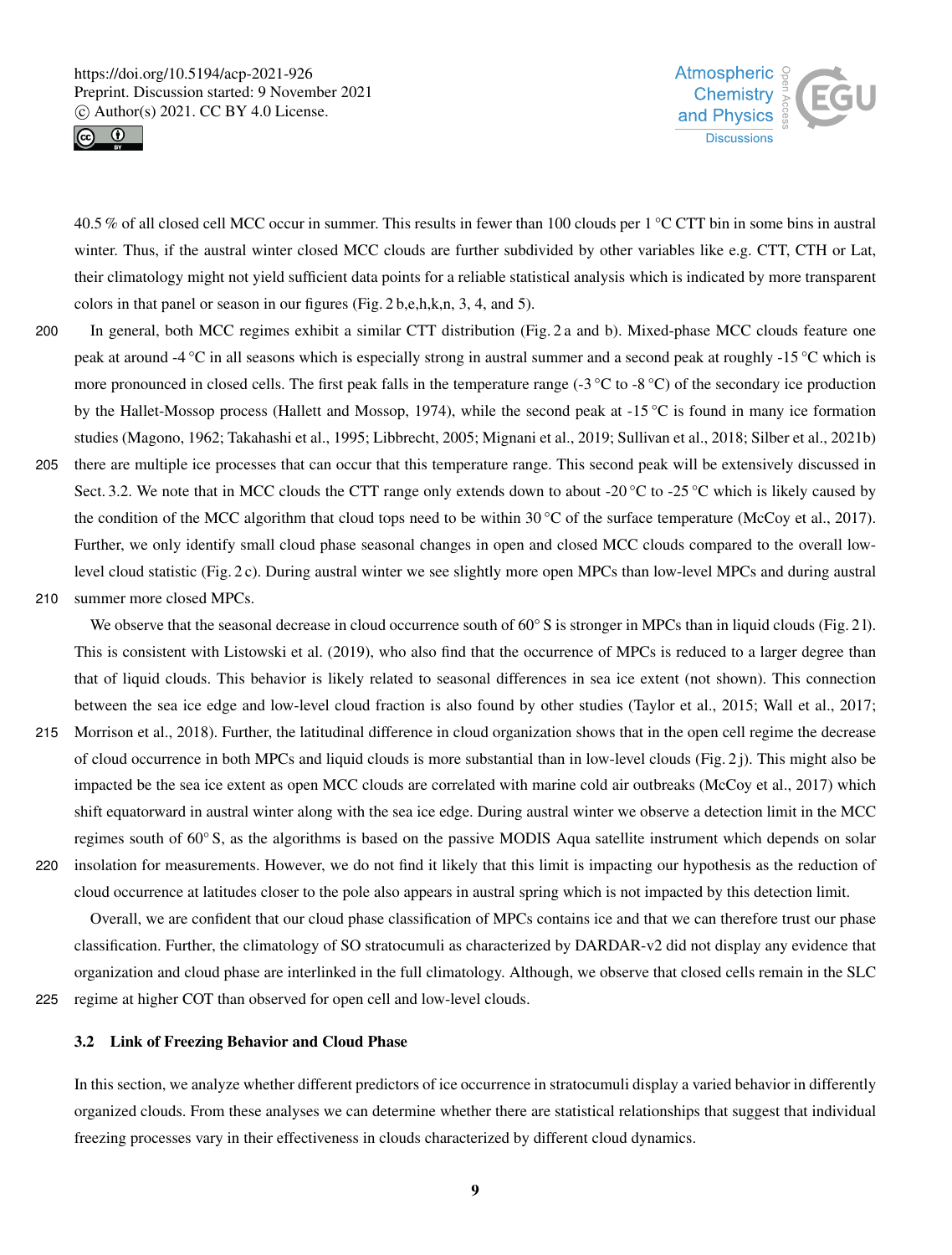



40.5 % of all closed cell MCC occur in summer. This results in fewer than 100 clouds per 1 °C CTT bin in some bins in austral winter. Thus, if the austral winter closed MCC clouds are further subdivided by other variables like e.g. CTT, CTH or Lat, their climatology might not yield sufficient data points for a reliable statistical analysis which is indicated by more transparent colors in that panel or season in our figures (Fig. 2 b,e,h,k,n, 3, 4, and 5).

- 200 In general, both MCC regimes exhibit a similar CTT distribution (Fig. 2 a and b). Mixed-phase MCC clouds feature one peak at around -4 °C in all seasons which is especially strong in austral summer and a second peak at roughly -15 °C which is more pronounced in closed cells. The first peak falls in the temperature range (-3  $^{\circ}$ C to -8  $^{\circ}$ C) of the secondary ice production by the Hallet-Mossop process (Hallett and Mossop, 1974), while the second peak at  $-15\degree C$  is found in many ice formation studies (Magono, 1962; Takahashi et al., 1995; Libbrecht, 2005; Mignani et al., 2019; Sullivan et al., 2018; Silber et al., 2021b)
- 205 there are multiple ice processes that can occur that this temperature range. This second peak will be extensively discussed in Sect. 3.2. We note that in MCC clouds the CTT range only extends down to about -20 °C to -25 °C which is likely caused by the condition of the MCC algorithm that cloud tops need to be within  $30^{\circ}$ C of the surface temperature (McCoy et al., 2017). Further, we only identify small cloud phase seasonal changes in open and closed MCC clouds compared to the overall lowlevel cloud statistic (Fig. 2 c). During austral winter we see slightly more open MPCs than low-level MPCs and during austral

210 summer more closed MPCs.

We observe that the seasonal decrease in cloud occurrence south of 60 $\degree$  S is stronger in MPCs than in liquid clouds (Fig. 21). This is consistent with Listowski et al. (2019), who also find that the occurrence of MPCs is reduced to a larger degree than that of liquid clouds. This behavior is likely related to seasonal differences in sea ice extent (not shown). This connection between the sea ice edge and low-level cloud fraction is also found by other studies (Taylor et al., 2015; Wall et al., 2017;

- 215 Morrison et al., 2018). Further, the latitudinal difference in cloud organization shows that in the open cell regime the decrease of cloud occurrence in both MPCs and liquid clouds is more substantial than in low-level clouds (Fig. 2 j). This might also be impacted be the sea ice extent as open MCC clouds are correlated with marine cold air outbreaks (McCoy et al., 2017) which shift equatorward in austral winter along with the sea ice edge. During austral winter we observe a detection limit in the MCC regimes south of 60° S, as the algorithms is based on the passive MODIS Aqua satellite instrument which depends on solar
- 220 insolation for measurements. However, we do not find it likely that this limit is impacting our hypothesis as the reduction of cloud occurrence at latitudes closer to the pole also appears in austral spring which is not impacted by this detection limit.

Overall, we are confident that our cloud phase classification of MPCs contains ice and that we can therefore trust our phase classification. Further, the climatology of SO stratocumuli as characterized by DARDAR-v2 did not display any evidence that organization and cloud phase are interlinked in the full climatology. Although, we observe that closed cells remain in the SLC 225 regime at higher COT than observed for open cell and low-level clouds.

# 3.2 Link of Freezing Behavior and Cloud Phase

In this section, we analyze whether different predictors of ice occurrence in stratocumuli display a varied behavior in differently organized clouds. From these analyses we can determine whether there are statistical relationships that suggest that individual freezing processes vary in their effectiveness in clouds characterized by different cloud dynamics.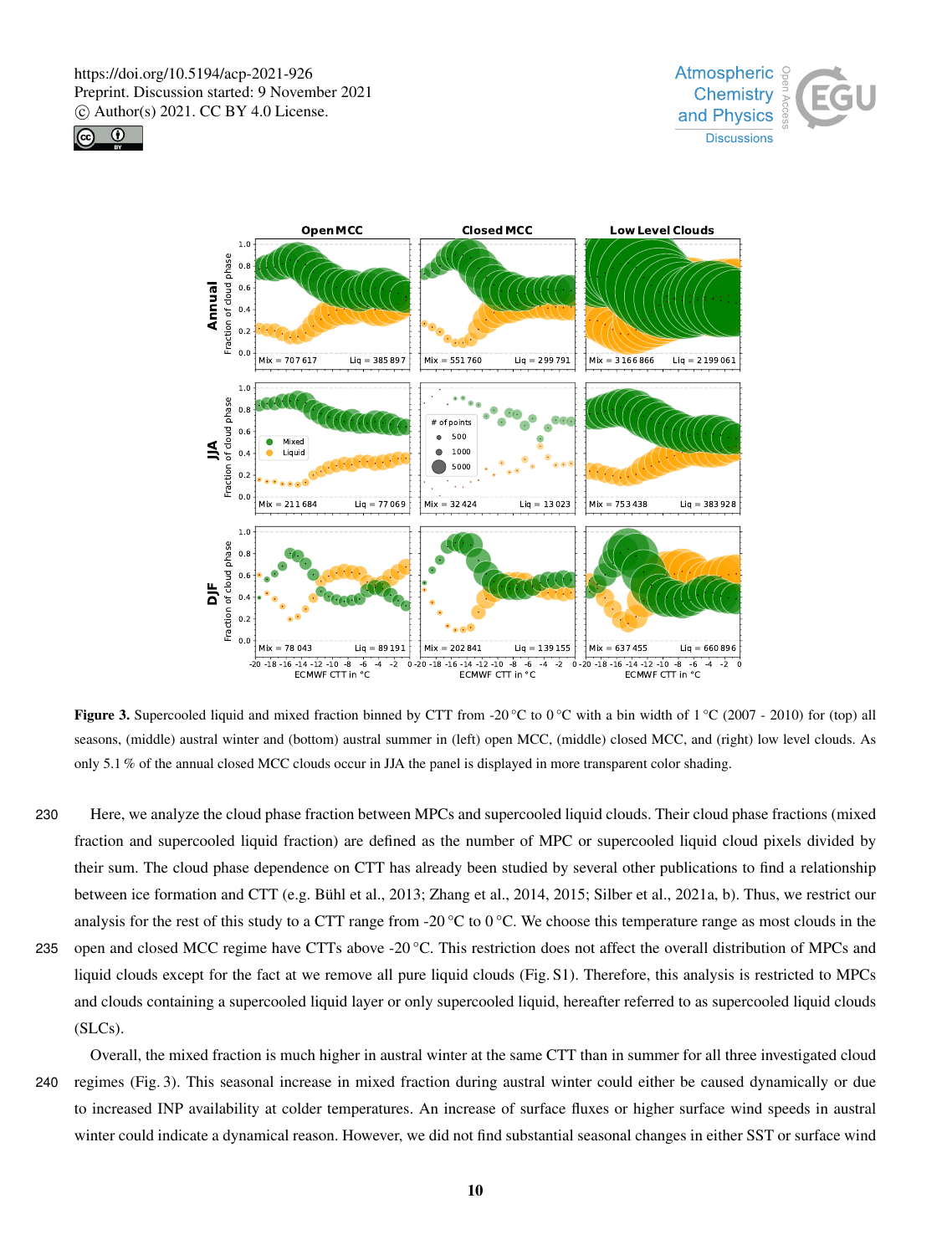





**Figure 3.** Supercooled liquid and mixed fraction binned by CTT from -20 °C to 0 °C with a bin width of 1 °C (2007 - 2010) for (top) all seasons, (middle) austral winter and (bottom) austral summer in (left) open MCC, (middle) closed MCC, and (right) low level clouds. As only 5.1 % of the annual closed MCC clouds occur in JJA the panel is displayed in more transparent color shading.

230 Here, we analyze the cloud phase fraction between MPCs and supercooled liquid clouds. Their cloud phase fractions (mixed fraction and supercooled liquid fraction) are defined as the number of MPC or supercooled liquid cloud pixels divided by their sum. The cloud phase dependence on CTT has already been studied by several other publications to find a relationship between ice formation and CTT (e.g. Bühl et al., 2013; Zhang et al., 2014, 2015; Silber et al., 2021a, b). Thus, we restrict our analysis for the rest of this study to a CTT range from -20  $^{\circ}$ C to 0  $^{\circ}$ C. We choose this temperature range as most clouds in the 235 open and closed MCC regime have CTTs above -20 °C. This restriction does not affect the overall distribution of MPCs and liquid clouds except for the fact at we remove all pure liquid clouds (Fig. S1). Therefore, this analysis is restricted to MPCs and clouds containing a supercooled liquid layer or only supercooled liquid, hereafter referred to as supercooled liquid clouds (SLCs).

Overall, the mixed fraction is much higher in austral winter at the same CTT than in summer for all three investigated cloud 240 regimes (Fig. 3). This seasonal increase in mixed fraction during austral winter could either be caused dynamically or due to increased INP availability at colder temperatures. An increase of surface fluxes or higher surface wind speeds in austral winter could indicate a dynamical reason. However, we did not find substantial seasonal changes in either SST or surface wind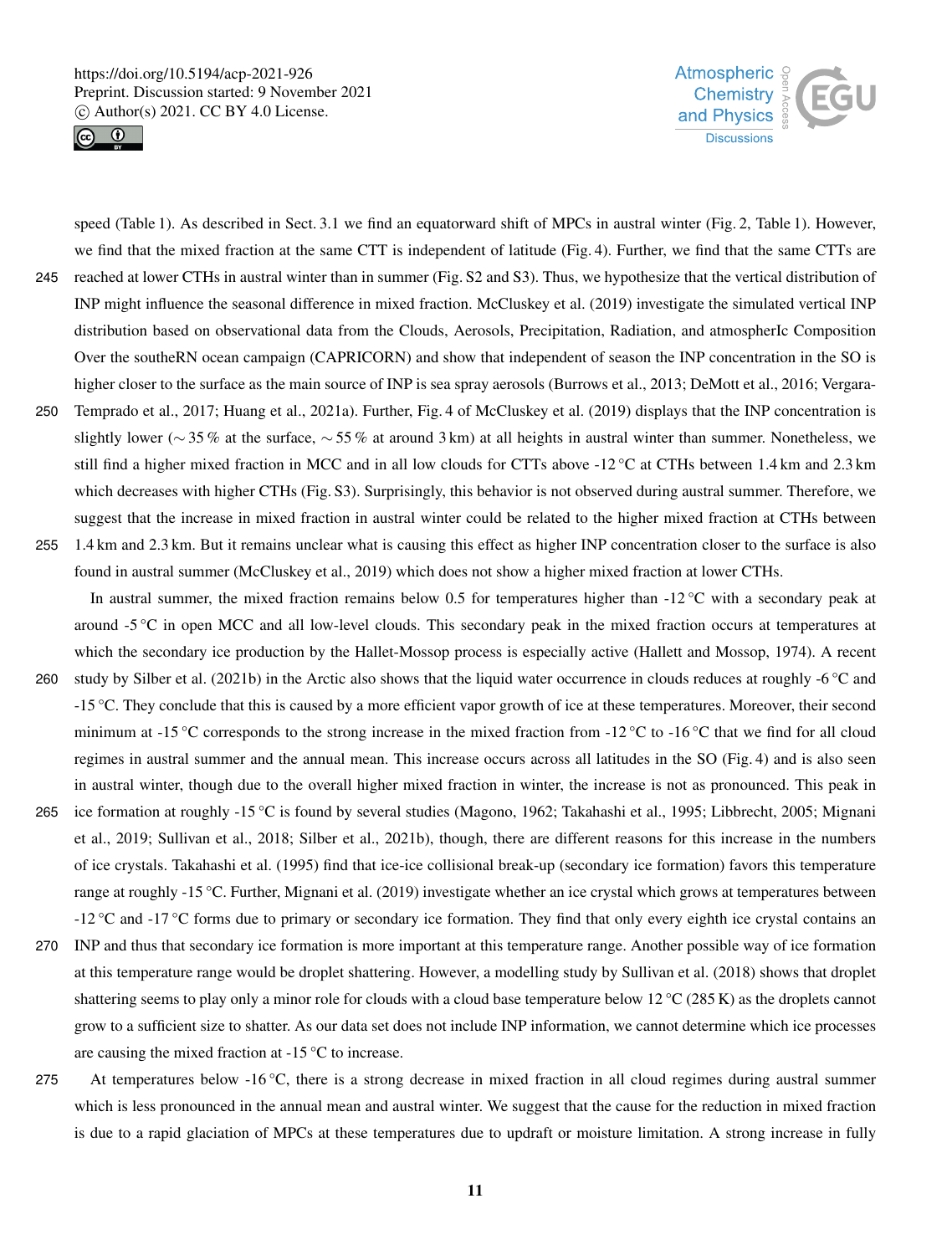



speed (Table 1). As described in Sect. 3.1 we find an equatorward shift of MPCs in austral winter (Fig. 2, Table 1). However, we find that the mixed fraction at the same CTT is independent of latitude (Fig. 4). Further, we find that the same CTTs are 245 reached at lower CTHs in austral winter than in summer (Fig. S2 and S3). Thus, we hypothesize that the vertical distribution of INP might influence the seasonal difference in mixed fraction. McCluskey et al. (2019) investigate the simulated vertical INP distribution based on observational data from the Clouds, Aerosols, Precipitation, Radiation, and atmospherIc Composition Over the southeRN ocean campaign (CAPRICORN) and show that independent of season the INP concentration in the SO is higher closer to the surface as the main source of INP is sea spray aerosols (Burrows et al., 2013; DeMott et al., 2016; Vergara-250 Temprado et al., 2017; Huang et al., 2021a). Further, Fig. 4 of McCluskey et al. (2019) displays that the INP concentration is slightly lower (∼ 35 % at the surface, ∼ 55 % at around 3 km) at all heights in austral winter than summer. Nonetheless, we still find a higher mixed fraction in MCC and in all low clouds for CTTs above -12 °C at CTHs between 1.4 km and 2.3 km which decreases with higher CTHs (Fig. S3). Surprisingly, this behavior is not observed during austral summer. Therefore, we suggest that the increase in mixed fraction in austral winter could be related to the higher mixed fraction at CTHs between 255 1.4 km and 2.3 km. But it remains unclear what is causing this effect as higher INP concentration closer to the surface is also found in austral summer (McCluskey et al., 2019) which does not show a higher mixed fraction at lower CTHs.

In austral summer, the mixed fraction remains below 0.5 for temperatures higher than  $-12 \degree C$  with a secondary peak at around -5 °C in open MCC and all low-level clouds. This secondary peak in the mixed fraction occurs at temperatures at which the secondary ice production by the Hallet-Mossop process is especially active (Hallett and Mossop, 1974). A recent

- 260 study by Silber et al. (2021b) in the Arctic also shows that the liquid water occurrence in clouds reduces at roughly -6  $\degree$ C and -15 °C. They conclude that this is caused by a more efficient vapor growth of ice at these temperatures. Moreover, their second minimum at -15 °C corresponds to the strong increase in the mixed fraction from -12 °C to -16 °C that we find for all cloud regimes in austral summer and the annual mean. This increase occurs across all latitudes in the SO (Fig. 4) and is also seen in austral winter, though due to the overall higher mixed fraction in winter, the increase is not as pronounced. This peak in
- 265 ice formation at roughly -15 °C is found by several studies (Magono, 1962; Takahashi et al., 1995; Libbrecht, 2005; Mignani et al., 2019; Sullivan et al., 2018; Silber et al., 2021b), though, there are different reasons for this increase in the numbers of ice crystals. Takahashi et al. (1995) find that ice-ice collisional break-up (secondary ice formation) favors this temperature range at roughly -15 °C. Further, Mignani et al. (2019) investigate whether an ice crystal which grows at temperatures between -12 °C and -17 °C forms due to primary or secondary ice formation. They find that only every eighth ice crystal contains an
- 270 INP and thus that secondary ice formation is more important at this temperature range. Another possible way of ice formation at this temperature range would be droplet shattering. However, a modelling study by Sullivan et al. (2018) shows that droplet shattering seems to play only a minor role for clouds with a cloud base temperature below 12 °C (285 K) as the droplets cannot grow to a sufficient size to shatter. As our data set does not include INP information, we cannot determine which ice processes are causing the mixed fraction at -15 °C to increase.
- 275 At temperatures below  $-16\degree C$ , there is a strong decrease in mixed fraction in all cloud regimes during austral summer which is less pronounced in the annual mean and austral winter. We suggest that the cause for the reduction in mixed fraction is due to a rapid glaciation of MPCs at these temperatures due to updraft or moisture limitation. A strong increase in fully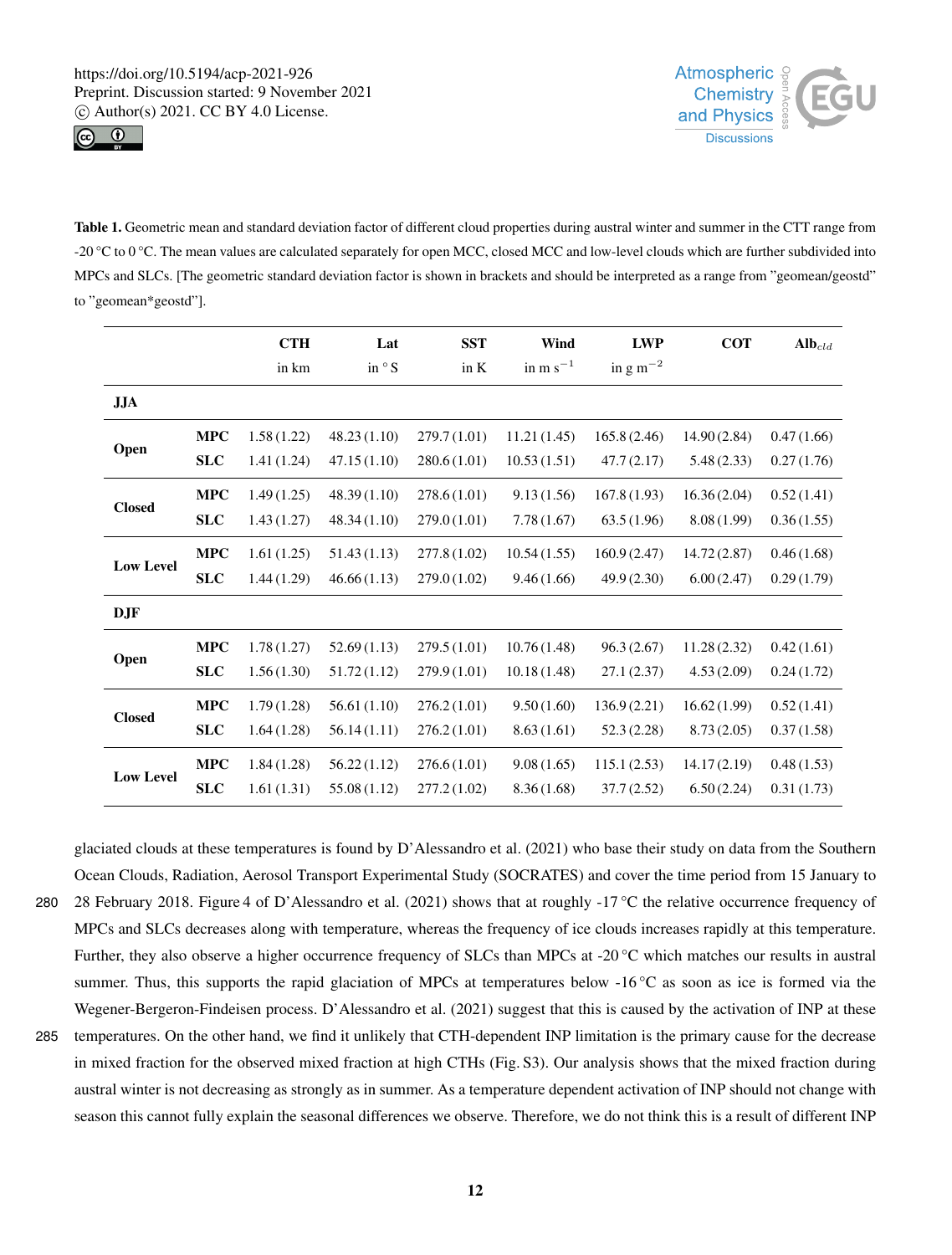



Table 1. Geometric mean and standard deviation factor of different cloud properties during austral winter and summer in the CTT range from -20  $^{\circ}$ C to 0  $^{\circ}$ C. The mean values are calculated separately for open MCC, closed MCC and low-level clouds which are further subdivided into MPCs and SLCs. [The geometric standard deviation factor is shown in brackets and should be interpreted as a range from "geomean/geostd" to "geomean\*geostd"].

|                  |            | <b>CTH</b> | Lat          | <b>SST</b>  | Wind          | <b>LWP</b>    | <b>COT</b>  | $Alb_{cld}$ |
|------------------|------------|------------|--------------|-------------|---------------|---------------|-------------|-------------|
|                  |            | in km      | in $\circ$ S | in K        | in $m s^{-1}$ | in $g m^{-2}$ |             |             |
| <b>JJA</b>       |            |            |              |             |               |               |             |             |
| Open             | <b>MPC</b> | 1.58(1.22) | 48.23(1.10)  | 279.7(1.01) | 11.21(1.45)   | 165.8(2.46)   | 14.90(2.84) | 0.47(1.66)  |
|                  | <b>SLC</b> | 1.41(1.24) | 47.15(1.10)  | 280.6(1.01) | 10.53(1.51)   | 47.7(2.17)    | 5.48(2.33)  | 0.27(1.76)  |
| <b>Closed</b>    | <b>MPC</b> | 1.49(1.25) | 48.39(1.10)  | 278.6(1.01) | 9.13(1.56)    | 167.8(1.93)   | 16.36(2.04) | 0.52(1.41)  |
|                  | <b>SLC</b> | 1.43(1.27) | 48.34(1.10)  | 279.0(1.01) | 7.78(1.67)    | 63.5(1.96)    | 8.08(1.99)  | 0.36(1.55)  |
| <b>Low Level</b> | <b>MPC</b> | 1.61(1.25) | 51.43(1.13)  | 277.8(1.02) | 10.54(1.55)   | 160.9(2.47)   | 14.72(2.87) | 0.46(1.68)  |
|                  | <b>SLC</b> | 1.44(1.29) | 46.66(1.13)  | 279.0(1.02) | 9.46(1.66)    | 49.9(2.30)    | 6.00(2.47)  | 0.29(1.79)  |
| DJF              |            |            |              |             |               |               |             |             |
| Open             | <b>MPC</b> | 1.78(1.27) | 52.69(1.13)  | 279.5(1.01) | 10.76(1.48)   | 96.3(2.67)    | 11.28(2.32) | 0.42(1.61)  |
|                  | <b>SLC</b> | 1.56(1.30) | 51.72(1.12)  | 279.9(1.01) | 10.18(1.48)   | 27.1(2.37)    | 4.53(2.09)  | 0.24(1.72)  |
| <b>Closed</b>    | <b>MPC</b> | 1.79(1.28) | 56.61(1.10)  | 276.2(1.01) | 9.50(1.60)    | 136.9(2.21)   | 16.62(1.99) | 0.52(1.41)  |
|                  | <b>SLC</b> | 1.64(1.28) | 56.14(1.11)  | 276.2(1.01) | 8.63(1.61)    | 52.3(2.28)    | 8.73(2.05)  | 0.37(1.58)  |
| <b>Low Level</b> | <b>MPC</b> | 1.84(1.28) | 56.22(1.12)  | 276.6(1.01) | 9.08(1.65)    | 115.1(2.53)   | 14.17(2.19) | 0.48(1.53)  |
|                  | <b>SLC</b> | 1.61(1.31) | 55.08 (1.12) | 277.2(1.02) | 8.36(1.68)    | 37.7(2.52)    | 6.50(2.24)  | 0.31(1.73)  |

glaciated clouds at these temperatures is found by D'Alessandro et al. (2021) who base their study on data from the Southern Ocean Clouds, Radiation, Aerosol Transport Experimental Study (SOCRATES) and cover the time period from 15 January to 280 28 February 2018. Figure 4 of D'Alessandro et al. (2021) shows that at roughly -17 °C the relative occurrence frequency of MPCs and SLCs decreases along with temperature, whereas the frequency of ice clouds increases rapidly at this temperature. Further, they also observe a higher occurrence frequency of SLCs than MPCs at -20 °C which matches our results in austral summer. Thus, this supports the rapid glaciation of MPCs at temperatures below -16 °C as soon as ice is formed via the Wegener-Bergeron-Findeisen process. D'Alessandro et al. (2021) suggest that this is caused by the activation of INP at these 285 temperatures. On the other hand, we find it unlikely that CTH-dependent INP limitation is the primary cause for the decrease in mixed fraction for the observed mixed fraction at high CTHs (Fig. S3). Our analysis shows that the mixed fraction during austral winter is not decreasing as strongly as in summer. As a temperature dependent activation of INP should not change with season this cannot fully explain the seasonal differences we observe. Therefore, we do not think this is a result of different INP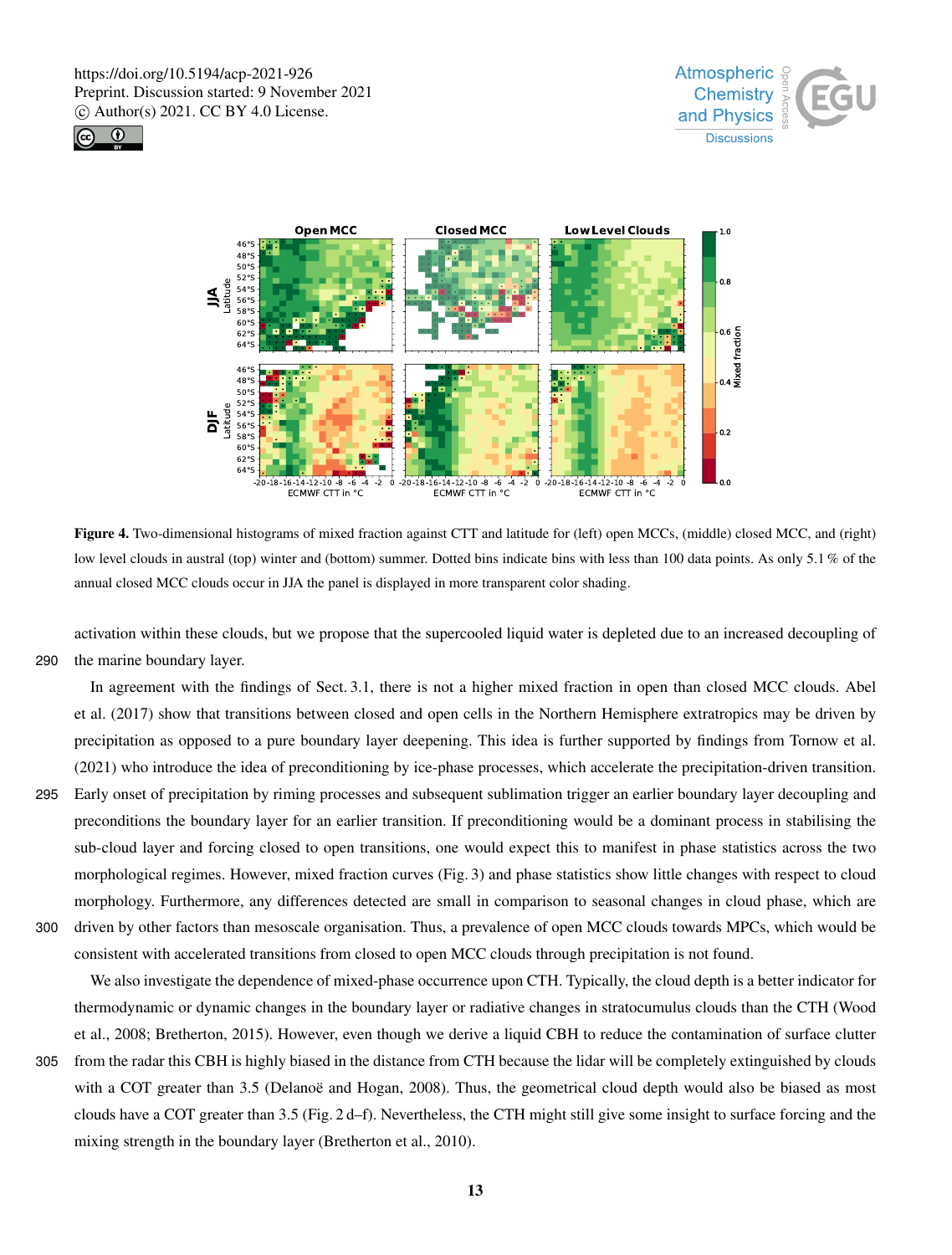





Figure 4. Two-dimensional histograms of mixed fraction against CTT and latitude for (left) open MCCs, (middle) closed MCC, and (right) low level clouds in austral (top) winter and (bottom) summer. Dotted bins indicate bins with less than 100 data points. As only 5.1 % of the annual closed MCC clouds occur in JJA the panel is displayed in more transparent color shading.

activation within these clouds, but we propose that the supercooled liquid water is depleted due to an increased decoupling of 290 the marine boundary layer.

In agreement with the findings of Sect. 3.1, there is not a higher mixed fraction in open than closed MCC clouds. Abel et al. (2017) show that transitions between closed and open cells in the Northern Hemisphere extratropics may be driven by precipitation as opposed to a pure boundary layer deepening. This idea is further supported by findings from Tornow et al. (2021) who introduce the idea of preconditioning by ice-phase processes, which accelerate the precipitation-driven transition.

295 Early onset of precipitation by riming processes and subsequent sublimation trigger an earlier boundary layer decoupling and preconditions the boundary layer for an earlier transition. If preconditioning would be a dominant process in stabilising the sub-cloud layer and forcing closed to open transitions, one would expect this to manifest in phase statistics across the two morphological regimes. However, mixed fraction curves (Fig. 3) and phase statistics show little changes with respect to cloud morphology. Furthermore, any differences detected are small in comparison to seasonal changes in cloud phase, which are 300 driven by other factors than mesoscale organisation. Thus, a prevalence of open MCC clouds towards MPCs, which would be consistent with accelerated transitions from closed to open MCC clouds through precipitation is not found.

We also investigate the dependence of mixed-phase occurrence upon CTH. Typically, the cloud depth is a better indicator for thermodynamic or dynamic changes in the boundary layer or radiative changes in stratocumulus clouds than the CTH (Wood et al., 2008; Bretherton, 2015). However, even though we derive a liquid CBH to reduce the contamination of surface clutter

305 from the radar this CBH is highly biased in the distance from CTH because the lidar will be completely extinguished by clouds with a COT greater than 3.5 (Delanoë and Hogan, 2008). Thus, the geometrical cloud depth would also be biased as most clouds have a COT greater than 3.5 (Fig. 2 d–f). Nevertheless, the CTH might still give some insight to surface forcing and the mixing strength in the boundary layer (Bretherton et al., 2010).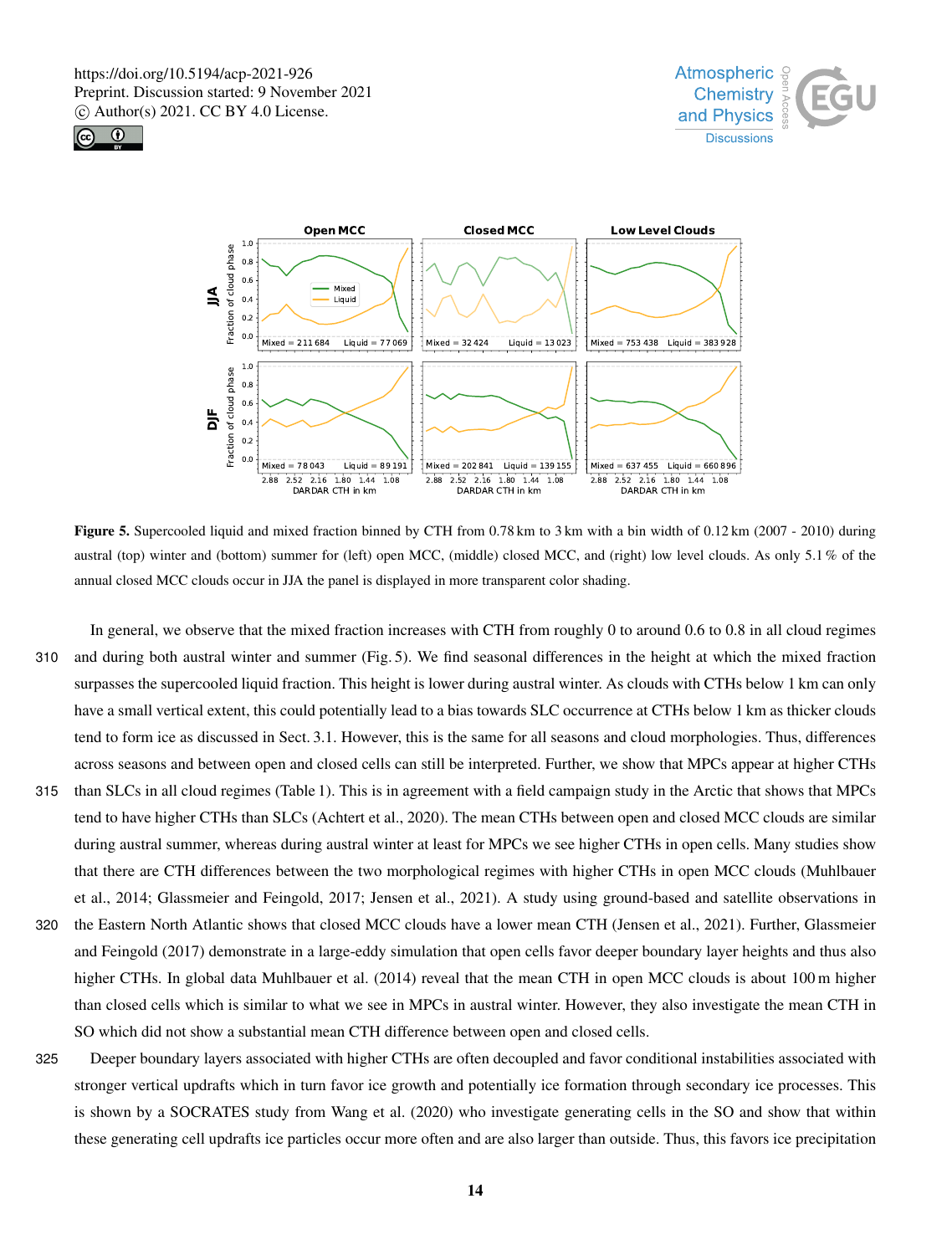





Figure 5. Supercooled liquid and mixed fraction binned by CTH from 0.78 km to 3 km with a bin width of 0.12 km (2007 - 2010) during austral (top) winter and (bottom) summer for (left) open MCC, (middle) closed MCC, and (right) low level clouds. As only 5.1 % of the annual closed MCC clouds occur in JJA the panel is displayed in more transparent color shading.

In general, we observe that the mixed fraction increases with CTH from roughly 0 to around 0.6 to 0.8 in all cloud regimes 310 and during both austral winter and summer (Fig. 5). We find seasonal differences in the height at which the mixed fraction surpasses the supercooled liquid fraction. This height is lower during austral winter. As clouds with CTHs below 1 km can only have a small vertical extent, this could potentially lead to a bias towards SLC occurrence at CTHs below 1 km as thicker clouds tend to form ice as discussed in Sect. 3.1. However, this is the same for all seasons and cloud morphologies. Thus, differences across seasons and between open and closed cells can still be interpreted. Further, we show that MPCs appear at higher CTHs 315 than SLCs in all cloud regimes (Table 1). This is in agreement with a field campaign study in the Arctic that shows that MPCs tend to have higher CTHs than SLCs (Achtert et al., 2020). The mean CTHs between open and closed MCC clouds are similar during austral summer, whereas during austral winter at least for MPCs we see higher CTHs in open cells. Many studies show that there are CTH differences between the two morphological regimes with higher CTHs in open MCC clouds (Muhlbauer et al., 2014; Glassmeier and Feingold, 2017; Jensen et al., 2021). A study using ground-based and satellite observations in

- 320 the Eastern North Atlantic shows that closed MCC clouds have a lower mean CTH (Jensen et al., 2021). Further, Glassmeier and Feingold (2017) demonstrate in a large-eddy simulation that open cells favor deeper boundary layer heights and thus also higher CTHs. In global data Muhlbauer et al. (2014) reveal that the mean CTH in open MCC clouds is about 100 m higher than closed cells which is similar to what we see in MPCs in austral winter. However, they also investigate the mean CTH in SO which did not show a substantial mean CTH difference between open and closed cells.
- 325 Deeper boundary layers associated with higher CTHs are often decoupled and favor conditional instabilities associated with stronger vertical updrafts which in turn favor ice growth and potentially ice formation through secondary ice processes. This is shown by a SOCRATES study from Wang et al. (2020) who investigate generating cells in the SO and show that within these generating cell updrafts ice particles occur more often and are also larger than outside. Thus, this favors ice precipitation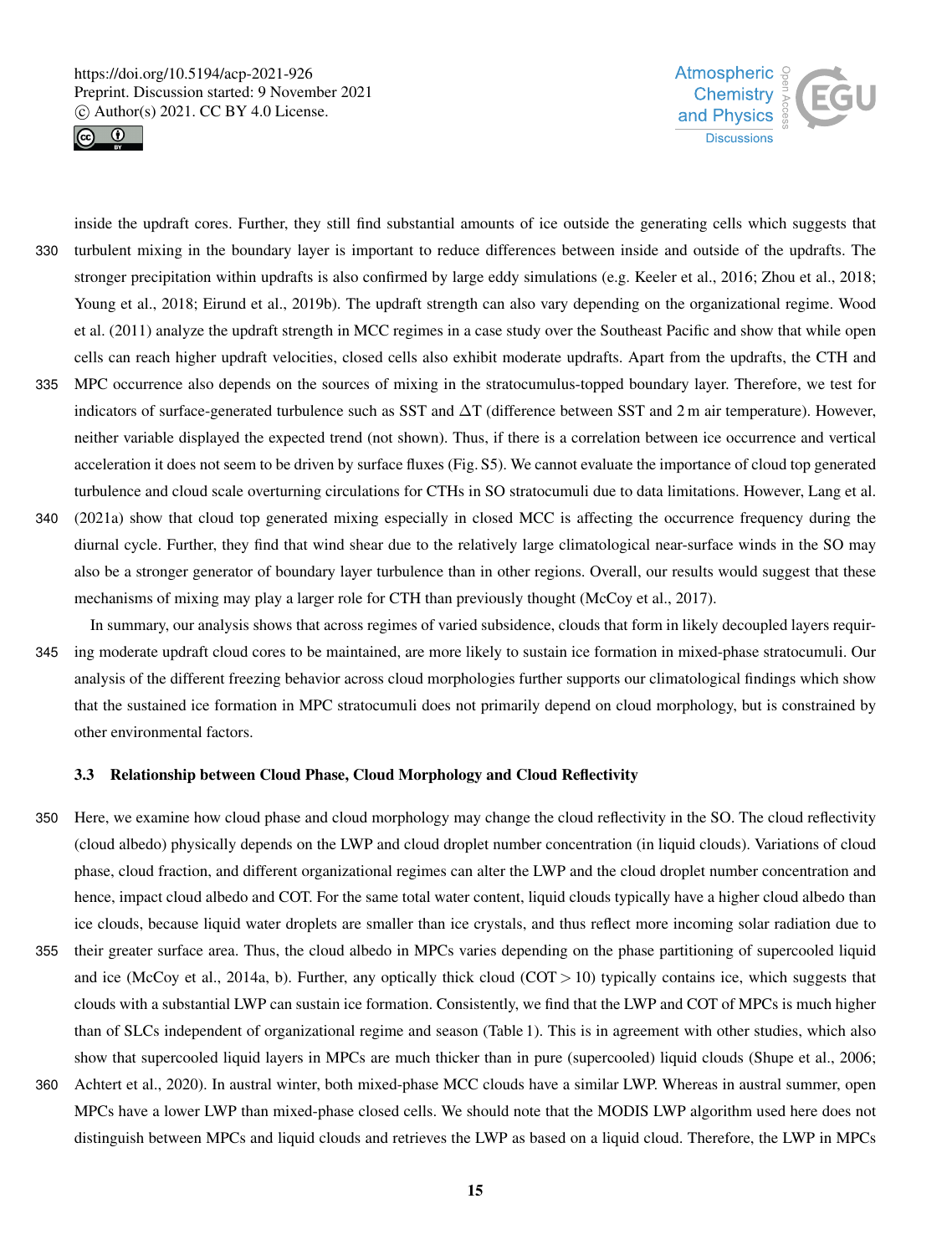



inside the updraft cores. Further, they still find substantial amounts of ice outside the generating cells which suggests that 330 turbulent mixing in the boundary layer is important to reduce differences between inside and outside of the updrafts. The stronger precipitation within updrafts is also confirmed by large eddy simulations (e.g. Keeler et al., 2016; Zhou et al., 2018; Young et al., 2018; Eirund et al., 2019b). The updraft strength can also vary depending on the organizational regime. Wood et al. (2011) analyze the updraft strength in MCC regimes in a case study over the Southeast Pacific and show that while open cells can reach higher updraft velocities, closed cells also exhibit moderate updrafts. Apart from the updrafts, the CTH and

- 335 MPC occurrence also depends on the sources of mixing in the stratocumulus-topped boundary layer. Therefore, we test for indicators of surface-generated turbulence such as SST and ∆T (difference between SST and 2 m air temperature). However, neither variable displayed the expected trend (not shown). Thus, if there is a correlation between ice occurrence and vertical acceleration it does not seem to be driven by surface fluxes (Fig. S5). We cannot evaluate the importance of cloud top generated turbulence and cloud scale overturning circulations for CTHs in SO stratocumuli due to data limitations. However, Lang et al.
- 340 (2021a) show that cloud top generated mixing especially in closed MCC is affecting the occurrence frequency during the diurnal cycle. Further, they find that wind shear due to the relatively large climatological near-surface winds in the SO may also be a stronger generator of boundary layer turbulence than in other regions. Overall, our results would suggest that these mechanisms of mixing may play a larger role for CTH than previously thought (McCoy et al., 2017).
- In summary, our analysis shows that across regimes of varied subsidence, clouds that form in likely decoupled layers requir-345 ing moderate updraft cloud cores to be maintained, are more likely to sustain ice formation in mixed-phase stratocumuli. Our analysis of the different freezing behavior across cloud morphologies further supports our climatological findings which show that the sustained ice formation in MPC stratocumuli does not primarily depend on cloud morphology, but is constrained by other environmental factors.

#### 3.3 Relationship between Cloud Phase, Cloud Morphology and Cloud Reflectivity

- 350 Here, we examine how cloud phase and cloud morphology may change the cloud reflectivity in the SO. The cloud reflectivity (cloud albedo) physically depends on the LWP and cloud droplet number concentration (in liquid clouds). Variations of cloud phase, cloud fraction, and different organizational regimes can alter the LWP and the cloud droplet number concentration and hence, impact cloud albedo and COT. For the same total water content, liquid clouds typically have a higher cloud albedo than ice clouds, because liquid water droplets are smaller than ice crystals, and thus reflect more incoming solar radiation due to 355 their greater surface area. Thus, the cloud albedo in MPCs varies depending on the phase partitioning of supercooled liquid
- and ice (McCoy et al., 2014a, b). Further, any optically thick cloud (COT  $>$  10) typically contains ice, which suggests that clouds with a substantial LWP can sustain ice formation. Consistently, we find that the LWP and COT of MPCs is much higher than of SLCs independent of organizational regime and season (Table 1). This is in agreement with other studies, which also show that supercooled liquid layers in MPCs are much thicker than in pure (supercooled) liquid clouds (Shupe et al., 2006;
- 360 Achtert et al., 2020). In austral winter, both mixed-phase MCC clouds have a similar LWP. Whereas in austral summer, open MPCs have a lower LWP than mixed-phase closed cells. We should note that the MODIS LWP algorithm used here does not distinguish between MPCs and liquid clouds and retrieves the LWP as based on a liquid cloud. Therefore, the LWP in MPCs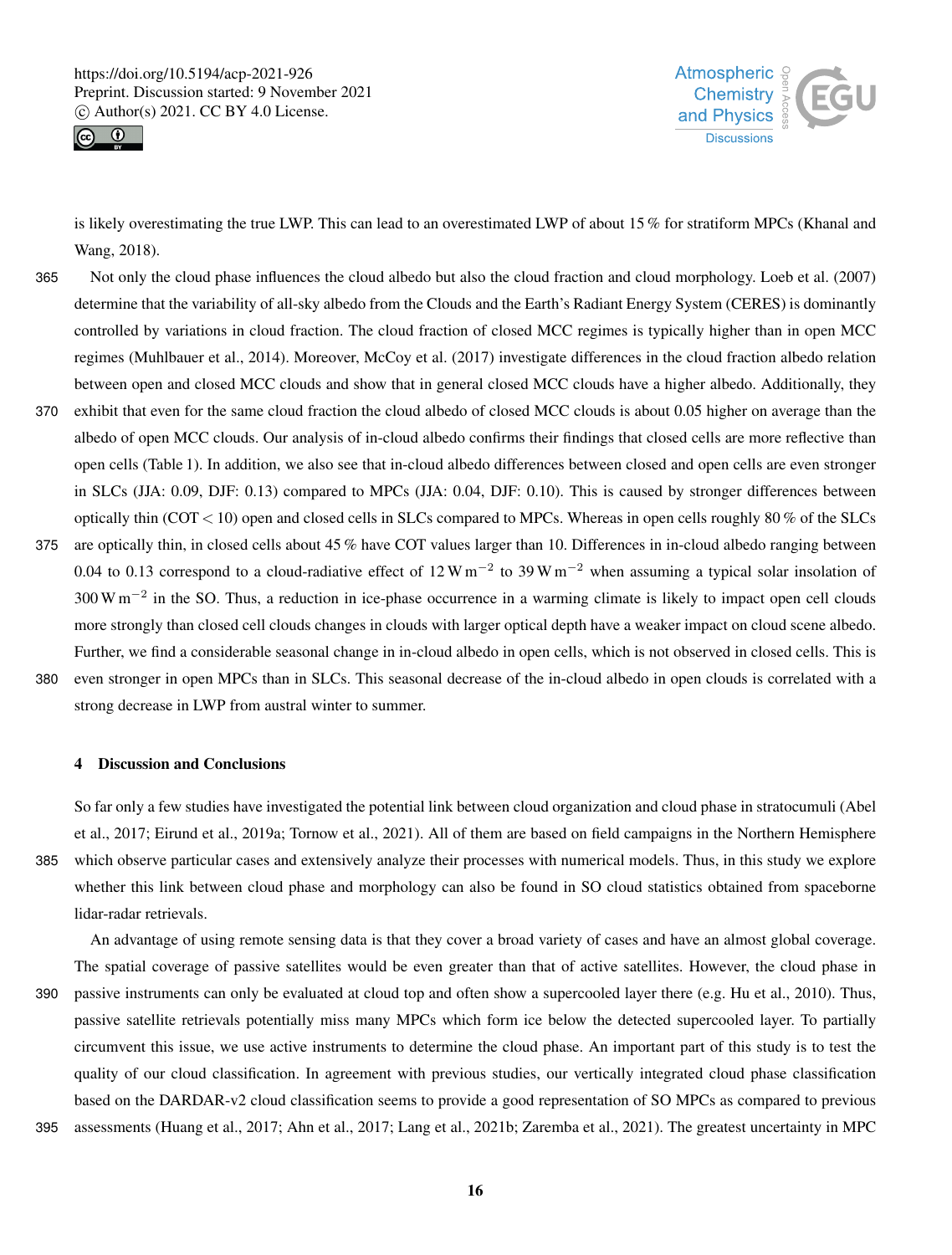



is likely overestimating the true LWP. This can lead to an overestimated LWP of about 15 % for stratiform MPCs (Khanal and Wang, 2018).

- 365 Not only the cloud phase influences the cloud albedo but also the cloud fraction and cloud morphology. Loeb et al. (2007) determine that the variability of all-sky albedo from the Clouds and the Earth's Radiant Energy System (CERES) is dominantly controlled by variations in cloud fraction. The cloud fraction of closed MCC regimes is typically higher than in open MCC regimes (Muhlbauer et al., 2014). Moreover, McCoy et al. (2017) investigate differences in the cloud fraction albedo relation between open and closed MCC clouds and show that in general closed MCC clouds have a higher albedo. Additionally, they 370 exhibit that even for the same cloud fraction the cloud albedo of closed MCC clouds is about 0.05 higher on average than the
- albedo of open MCC clouds. Our analysis of in-cloud albedo confirms their findings that closed cells are more reflective than open cells (Table 1). In addition, we also see that in-cloud albedo differences between closed and open cells are even stronger in SLCs (JJA: 0.09, DJF: 0.13) compared to MPCs (JJA: 0.04, DJF: 0.10). This is caused by stronger differences between optically thin (COT < 10) open and closed cells in SLCs compared to MPCs. Whereas in open cells roughly 80 % of the SLCs
- 375 are optically thin, in closed cells about 45 % have COT values larger than 10. Differences in in-cloud albedo ranging between 0.04 to 0.13 correspond to a cloud-radiative effect of  $12 W m^{-2}$  to 39 W m<sup>-2</sup> when assuming a typical solar insolation of  $300 \text{ W m}^{-2}$  in the SO. Thus, a reduction in ice-phase occurrence in a warming climate is likely to impact open cell clouds more strongly than closed cell clouds changes in clouds with larger optical depth have a weaker impact on cloud scene albedo. Further, we find a considerable seasonal change in in-cloud albedo in open cells, which is not observed in closed cells. This is 380 even stronger in open MPCs than in SLCs. This seasonal decrease of the in-cloud albedo in open clouds is correlated with a
- 

strong decrease in LWP from austral winter to summer.

#### 4 Discussion and Conclusions

So far only a few studies have investigated the potential link between cloud organization and cloud phase in stratocumuli (Abel et al., 2017; Eirund et al., 2019a; Tornow et al., 2021). All of them are based on field campaigns in the Northern Hemisphere 385 which observe particular cases and extensively analyze their processes with numerical models. Thus, in this study we explore whether this link between cloud phase and morphology can also be found in SO cloud statistics obtained from spaceborne lidar-radar retrievals.

An advantage of using remote sensing data is that they cover a broad variety of cases and have an almost global coverage. The spatial coverage of passive satellites would be even greater than that of active satellites. However, the cloud phase in 390 passive instruments can only be evaluated at cloud top and often show a supercooled layer there (e.g. Hu et al., 2010). Thus, passive satellite retrievals potentially miss many MPCs which form ice below the detected supercooled layer. To partially circumvent this issue, we use active instruments to determine the cloud phase. An important part of this study is to test the quality of our cloud classification. In agreement with previous studies, our vertically integrated cloud phase classification based on the DARDAR-v2 cloud classification seems to provide a good representation of SO MPCs as compared to previous 395 assessments (Huang et al., 2017; Ahn et al., 2017; Lang et al., 2021b; Zaremba et al., 2021). The greatest uncertainty in MPC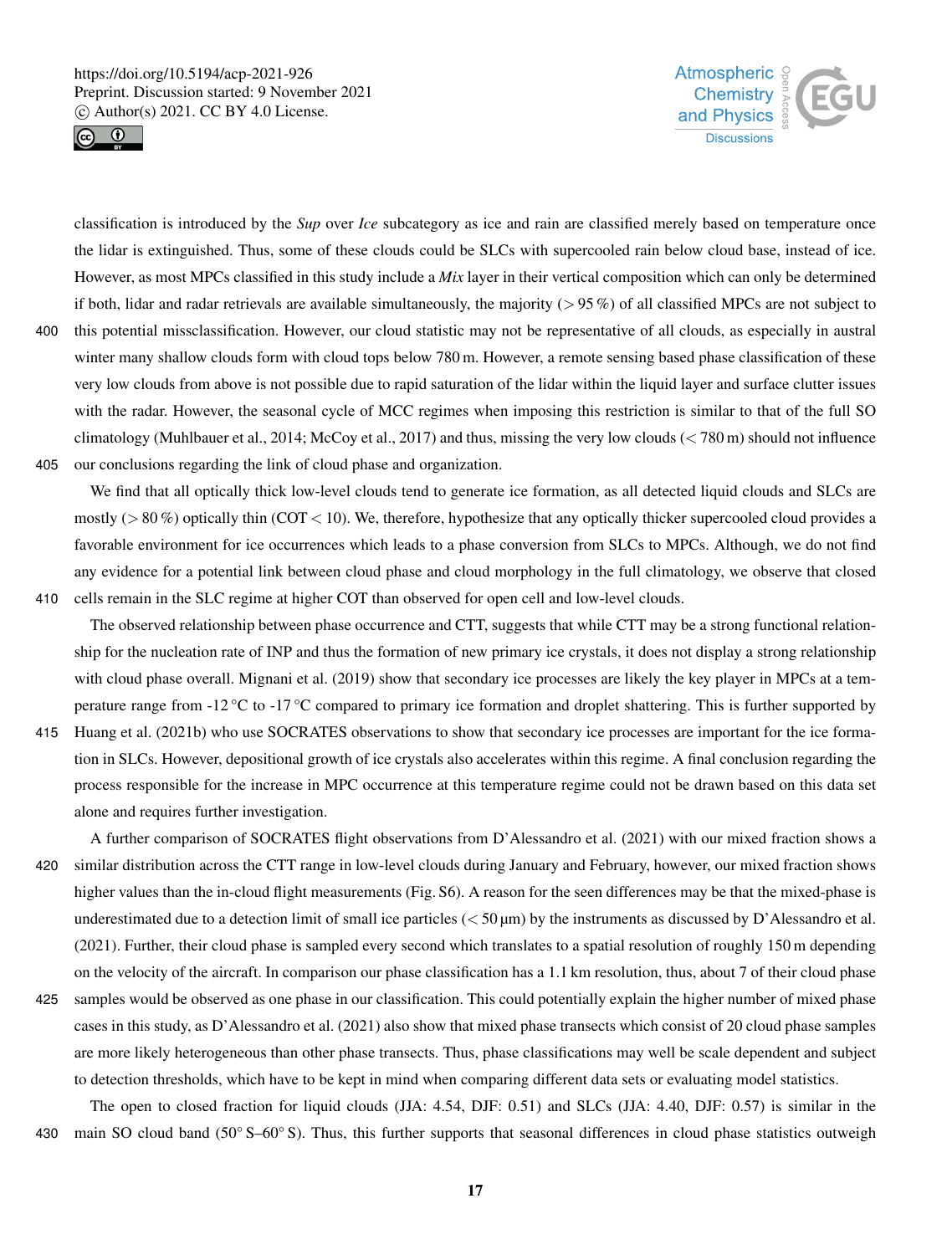



classification is introduced by the *Sup* over *Ice* subcategory as ice and rain are classified merely based on temperature once the lidar is extinguished. Thus, some of these clouds could be SLCs with supercooled rain below cloud base, instead of ice. However, as most MPCs classified in this study include a *Mix* layer in their vertical composition which can only be determined if both, lidar and radar retrievals are available simultaneously, the majority  $(> 95\%)$  of all classified MPCs are not subject to 400 this potential missclassification. However, our cloud statistic may not be representative of all clouds, as especially in austral winter many shallow clouds form with cloud tops below 780 m. However, a remote sensing based phase classification of these very low clouds from above is not possible due to rapid saturation of the lidar within the liquid layer and surface clutter issues with the radar. However, the seasonal cycle of MCC regimes when imposing this restriction is similar to that of the full SO climatology (Muhlbauer et al., 2014; McCoy et al., 2017) and thus, missing the very low clouds ( $\lt$  780 m) should not influence

405 our conclusions regarding the link of cloud phase and organization.

We find that all optically thick low-level clouds tend to generate ice formation, as all detected liquid clouds and SLCs are mostly ( $> 80\%$ ) optically thin (COT < 10). We, therefore, hypothesize that any optically thicker supercooled cloud provides a favorable environment for ice occurrences which leads to a phase conversion from SLCs to MPCs. Although, we do not find any evidence for a potential link between cloud phase and cloud morphology in the full climatology, we observe that closed 410 cells remain in the SLC regime at higher COT than observed for open cell and low-level clouds.

The observed relationship between phase occurrence and CTT, suggests that while CTT may be a strong functional relationship for the nucleation rate of INP and thus the formation of new primary ice crystals, it does not display a strong relationship with cloud phase overall. Mignani et al. (2019) show that secondary ice processes are likely the key player in MPCs at a temperature range from -12 °C to -17 °C compared to primary ice formation and droplet shattering. This is further supported by

415 Huang et al. (2021b) who use SOCRATES observations to show that secondary ice processes are important for the ice formation in SLCs. However, depositional growth of ice crystals also accelerates within this regime. A final conclusion regarding the process responsible for the increase in MPC occurrence at this temperature regime could not be drawn based on this data set alone and requires further investigation.

A further comparison of SOCRATES flight observations from D'Alessandro et al. (2021) with our mixed fraction shows a 420 similar distribution across the CTT range in low-level clouds during January and February, however, our mixed fraction shows higher values than the in-cloud flight measurements (Fig. S6). A reason for the seen differences may be that the mixed-phase is underestimated due to a detection limit of small ice particles  $(< 50 \,\text{\ensuremath{\mu}m}$ ) by the instruments as discussed by D'Alessandro et al. (2021). Further, their cloud phase is sampled every second which translates to a spatial resolution of roughly 150 m depending on the velocity of the aircraft. In comparison our phase classification has a 1.1 km resolution, thus, about 7 of their cloud phase

425 samples would be observed as one phase in our classification. This could potentially explain the higher number of mixed phase cases in this study, as D'Alessandro et al. (2021) also show that mixed phase transects which consist of 20 cloud phase samples are more likely heterogeneous than other phase transects. Thus, phase classifications may well be scale dependent and subject to detection thresholds, which have to be kept in mind when comparing different data sets or evaluating model statistics.

The open to closed fraction for liquid clouds (JJA: 4.54, DJF: 0.51) and SLCs (JJA: 4.40, DJF: 0.57) is similar in the 430 main SO cloud band (50° S–60° S). Thus, this further supports that seasonal differences in cloud phase statistics outweigh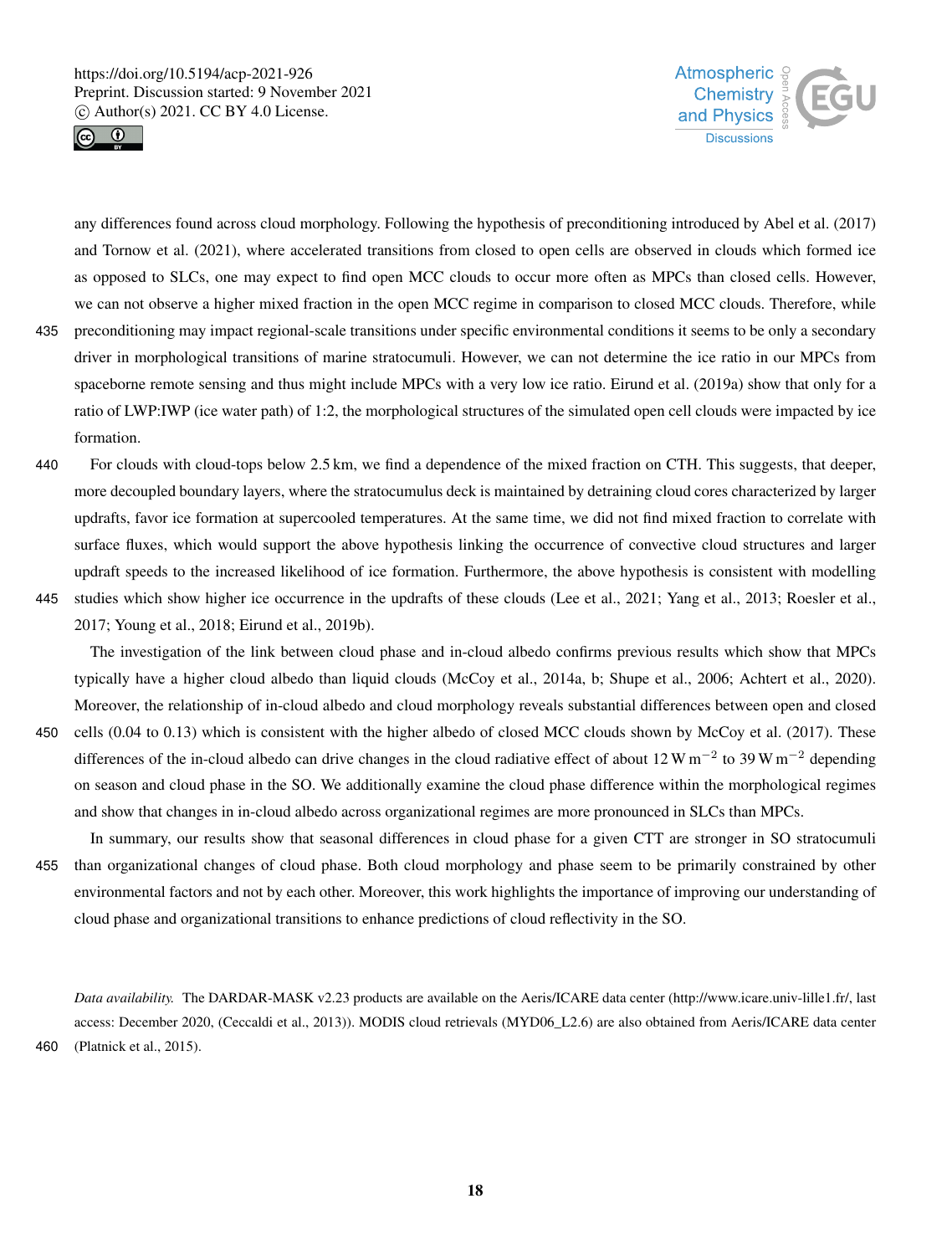



any differences found across cloud morphology. Following the hypothesis of preconditioning introduced by Abel et al. (2017) and Tornow et al. (2021), where accelerated transitions from closed to open cells are observed in clouds which formed ice as opposed to SLCs, one may expect to find open MCC clouds to occur more often as MPCs than closed cells. However, we can not observe a higher mixed fraction in the open MCC regime in comparison to closed MCC clouds. Therefore, while

- 435 preconditioning may impact regional-scale transitions under specific environmental conditions it seems to be only a secondary driver in morphological transitions of marine stratocumuli. However, we can not determine the ice ratio in our MPCs from spaceborne remote sensing and thus might include MPCs with a very low ice ratio. Eirund et al. (2019a) show that only for a ratio of LWP:IWP (ice water path) of 1:2, the morphological structures of the simulated open cell clouds were impacted by ice formation.
- 440 For clouds with cloud-tops below 2.5 km, we find a dependence of the mixed fraction on CTH. This suggests, that deeper, more decoupled boundary layers, where the stratocumulus deck is maintained by detraining cloud cores characterized by larger updrafts, favor ice formation at supercooled temperatures. At the same time, we did not find mixed fraction to correlate with surface fluxes, which would support the above hypothesis linking the occurrence of convective cloud structures and larger updraft speeds to the increased likelihood of ice formation. Furthermore, the above hypothesis is consistent with modelling
- 445 studies which show higher ice occurrence in the updrafts of these clouds (Lee et al., 2021; Yang et al., 2013; Roesler et al., 2017; Young et al., 2018; Eirund et al., 2019b).

The investigation of the link between cloud phase and in-cloud albedo confirms previous results which show that MPCs typically have a higher cloud albedo than liquid clouds (McCoy et al., 2014a, b; Shupe et al., 2006; Achtert et al., 2020). Moreover, the relationship of in-cloud albedo and cloud morphology reveals substantial differences between open and closed

450 cells (0.04 to 0.13) which is consistent with the higher albedo of closed MCC clouds shown by McCoy et al. (2017). These differences of the in-cloud albedo can drive changes in the cloud radiative effect of about 12 W m<sup>-2</sup> to 39 W m<sup>-2</sup> depending on season and cloud phase in the SO. We additionally examine the cloud phase difference within the morphological regimes and show that changes in in-cloud albedo across organizational regimes are more pronounced in SLCs than MPCs.

In summary, our results show that seasonal differences in cloud phase for a given CTT are stronger in SO stratocumuli 455 than organizational changes of cloud phase. Both cloud morphology and phase seem to be primarily constrained by other environmental factors and not by each other. Moreover, this work highlights the importance of improving our understanding of cloud phase and organizational transitions to enhance predictions of cloud reflectivity in the SO.

*Data availability.* The DARDAR-MASK v2.23 products are available on the Aeris/ICARE data center (http://www.icare.univ-lille1.fr/, last access: December 2020, (Ceccaldi et al., 2013)). MODIS cloud retrievals (MYD06\_L2.6) are also obtained from Aeris/ICARE data center 460 (Platnick et al., 2015).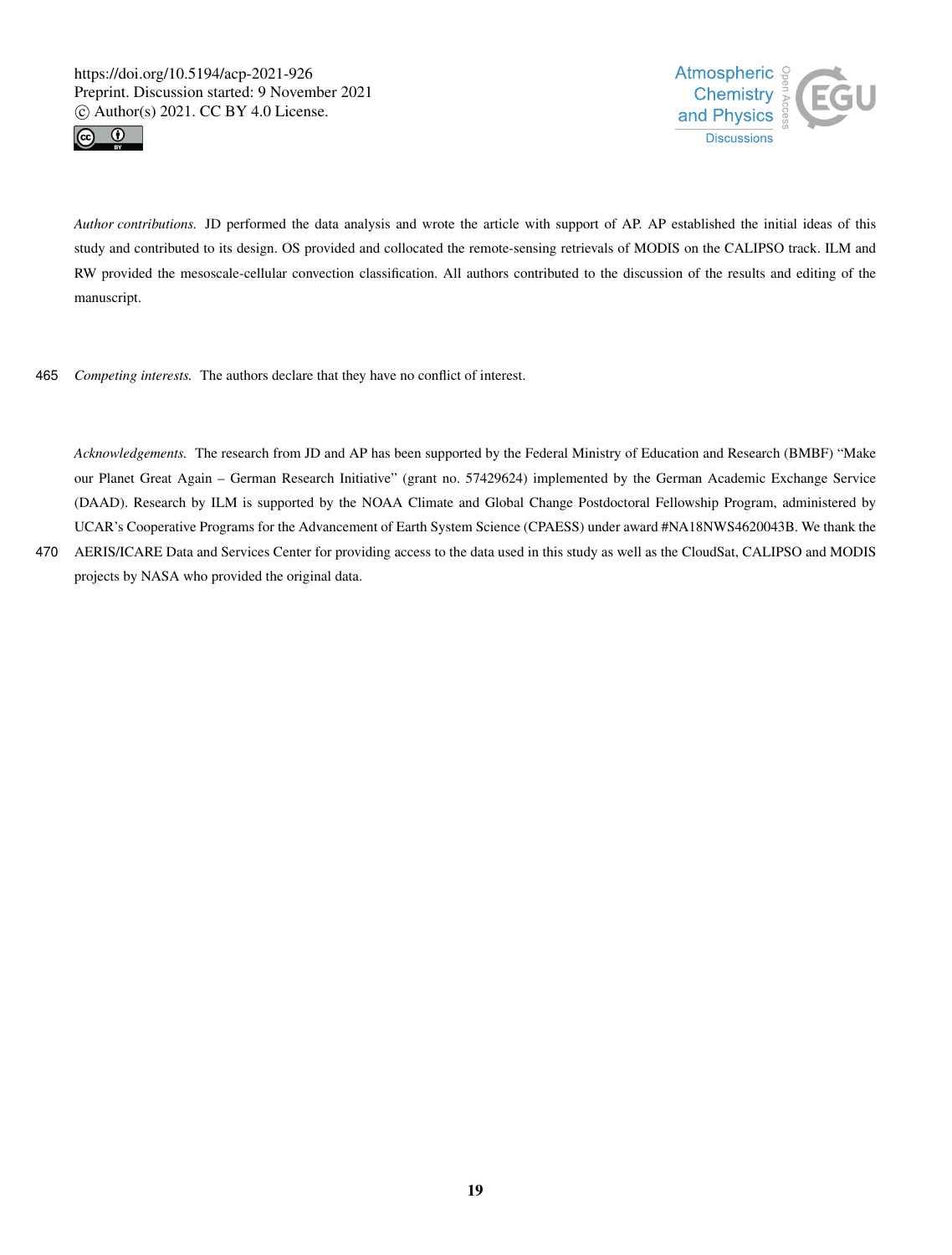



*Author contributions.* JD performed the data analysis and wrote the article with support of AP. AP established the initial ideas of this study and contributed to its design. OS provided and collocated the remote-sensing retrievals of MODIS on the CALIPSO track. ILM and RW provided the mesoscale-cellular convection classification. All authors contributed to the discussion of the results and editing of the manuscript.

465 *Competing interests.* The authors declare that they have no conflict of interest.

*Acknowledgements.* The research from JD and AP has been supported by the Federal Ministry of Education and Research (BMBF) "Make our Planet Great Again – German Research Initiative" (grant no. 57429624) implemented by the German Academic Exchange Service (DAAD). Research by ILM is supported by the NOAA Climate and Global Change Postdoctoral Fellowship Program, administered by UCAR's Cooperative Programs for the Advancement of Earth System Science (CPAESS) under award #NA18NWS4620043B. We thank the 470 AERIS/ICARE Data and Services Center for providing access to the data used in this study as well as the CloudSat, CALIPSO and MODIS

projects by NASA who provided the original data.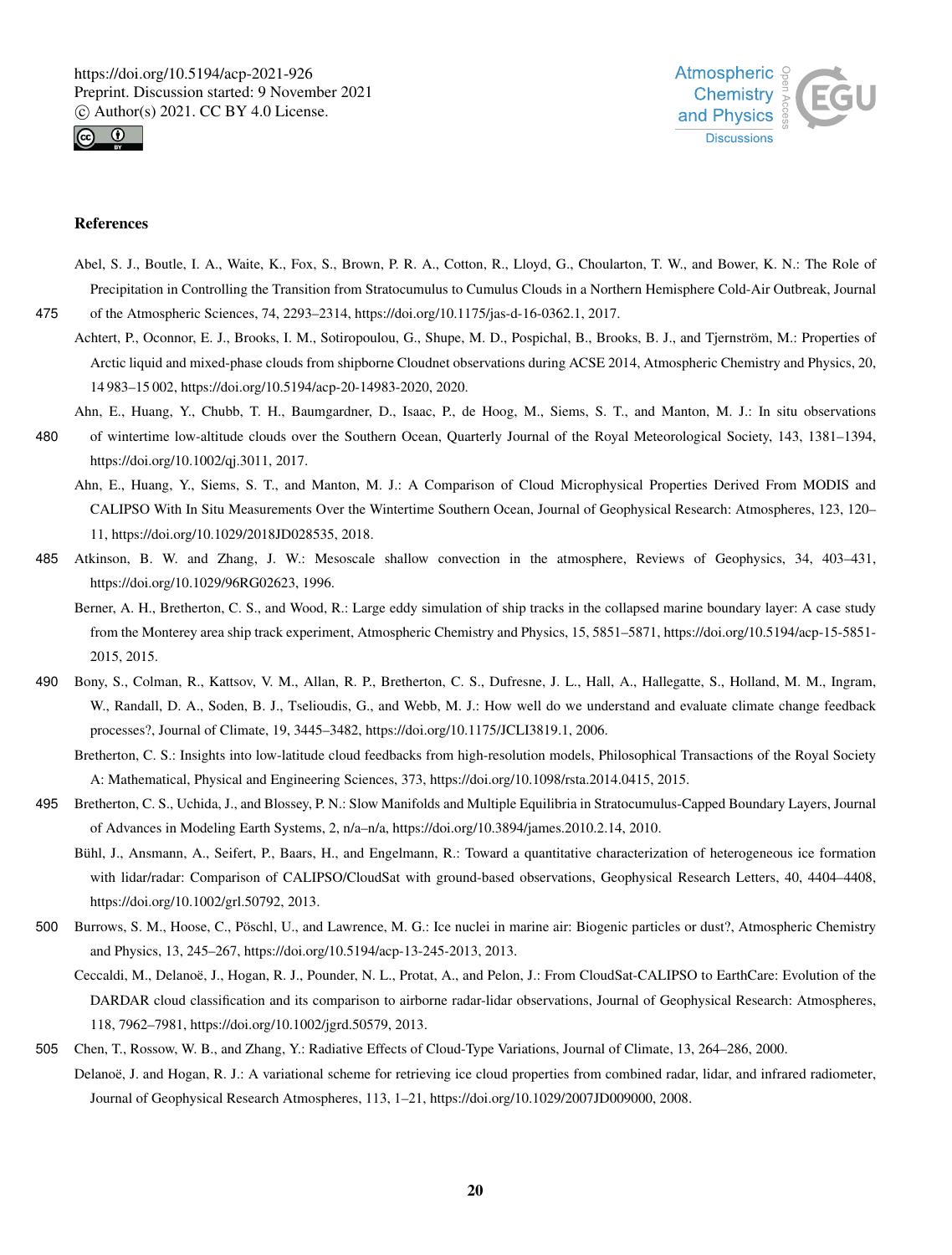



#### References

Abel, S. J., Boutle, I. A., Waite, K., Fox, S., Brown, P. R. A., Cotton, R., Lloyd, G., Choularton, T. W., and Bower, K. N.: The Role of Precipitation in Controlling the Transition from Stratocumulus to Cumulus Clouds in a Northern Hemisphere Cold-Air Outbreak, Journal

475 of the Atmospheric Sciences, 74, 2293–2314, https://doi.org/10.1175/jas-d-16-0362.1, 2017.

- Achtert, P., Oconnor, E. J., Brooks, I. M., Sotiropoulou, G., Shupe, M. D., Pospichal, B., Brooks, B. J., and Tjernström, M.: Properties of Arctic liquid and mixed-phase clouds from shipborne Cloudnet observations during ACSE 2014, Atmospheric Chemistry and Physics, 20, 14 983–15 002, https://doi.org/10.5194/acp-20-14983-2020, 2020.
- Ahn, E., Huang, Y., Chubb, T. H., Baumgardner, D., Isaac, P., de Hoog, M., Siems, S. T., and Manton, M. J.: In situ observations
- 480 of wintertime low-altitude clouds over the Southern Ocean, Quarterly Journal of the Royal Meteorological Society, 143, 1381–1394, https://doi.org/10.1002/qj.3011, 2017.
	- Ahn, E., Huang, Y., Siems, S. T., and Manton, M. J.: A Comparison of Cloud Microphysical Properties Derived From MODIS and CALIPSO With In Situ Measurements Over the Wintertime Southern Ocean, Journal of Geophysical Research: Atmospheres, 123, 120– 11, https://doi.org/10.1029/2018JD028535, 2018.
- 485 Atkinson, B. W. and Zhang, J. W.: Mesoscale shallow convection in the atmosphere, Reviews of Geophysics, 34, 403–431, https://doi.org/10.1029/96RG02623, 1996.
	- Berner, A. H., Bretherton, C. S., and Wood, R.: Large eddy simulation of ship tracks in the collapsed marine boundary layer: A case study from the Monterey area ship track experiment, Atmospheric Chemistry and Physics, 15, 5851–5871, https://doi.org/10.5194/acp-15-5851- 2015, 2015.
- 490 Bony, S., Colman, R., Kattsov, V. M., Allan, R. P., Bretherton, C. S., Dufresne, J. L., Hall, A., Hallegatte, S., Holland, M. M., Ingram, W., Randall, D. A., Soden, B. J., Tselioudis, G., and Webb, M. J.: How well do we understand and evaluate climate change feedback processes?, Journal of Climate, 19, 3445–3482, https://doi.org/10.1175/JCLI3819.1, 2006.
	- Bretherton, C. S.: Insights into low-latitude cloud feedbacks from high-resolution models, Philosophical Transactions of the Royal Society A: Mathematical, Physical and Engineering Sciences, 373, https://doi.org/10.1098/rsta.2014.0415, 2015.
- 495 Bretherton, C. S., Uchida, J., and Blossey, P. N.: Slow Manifolds and Multiple Equilibria in Stratocumulus-Capped Boundary Layers, Journal of Advances in Modeling Earth Systems, 2, n/a–n/a, https://doi.org/10.3894/james.2010.2.14, 2010.
	- Bühl, J., Ansmann, A., Seifert, P., Baars, H., and Engelmann, R.: Toward a quantitative characterization of heterogeneous ice formation with lidar/radar: Comparison of CALIPSO/CloudSat with ground-based observations, Geophysical Research Letters, 40, 4404–4408, https://doi.org/10.1002/grl.50792, 2013.
- 500 Burrows, S. M., Hoose, C., Pöschl, U., and Lawrence, M. G.: Ice nuclei in marine air: Biogenic particles or dust?, Atmospheric Chemistry and Physics, 13, 245–267, https://doi.org/10.5194/acp-13-245-2013, 2013.
	- Ceccaldi, M., Delanoë, J., Hogan, R. J., Pounder, N. L., Protat, A., and Pelon, J.: From CloudSat-CALIPSO to EarthCare: Evolution of the DARDAR cloud classification and its comparison to airborne radar-lidar observations, Journal of Geophysical Research: Atmospheres, 118, 7962–7981, https://doi.org/10.1002/jgrd.50579, 2013.
- 505 Chen, T., Rossow, W. B., and Zhang, Y.: Radiative Effects of Cloud-Type Variations, Journal of Climate, 13, 264–286, 2000. Delanoë, J. and Hogan, R. J.: A variational scheme for retrieving ice cloud properties from combined radar, lidar, and infrared radiometer, Journal of Geophysical Research Atmospheres, 113, 1–21, https://doi.org/10.1029/2007JD009000, 2008.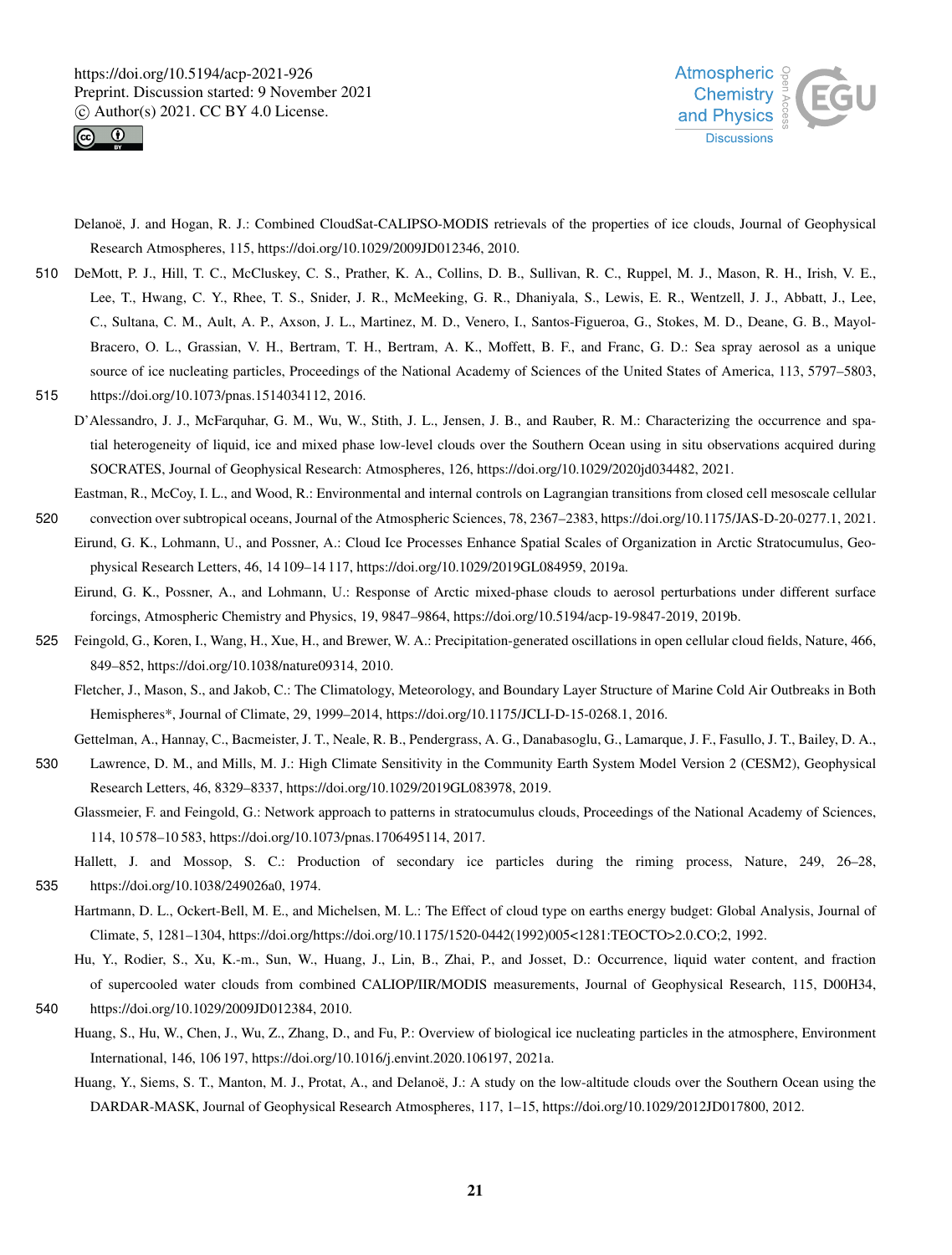



- Delanoë, J. and Hogan, R. J.: Combined CloudSat-CALIPSO-MODIS retrievals of the properties of ice clouds, Journal of Geophysical Research Atmospheres, 115, https://doi.org/10.1029/2009JD012346, 2010.
- 510 DeMott, P. J., Hill, T. C., McCluskey, C. S., Prather, K. A., Collins, D. B., Sullivan, R. C., Ruppel, M. J., Mason, R. H., Irish, V. E., Lee, T., Hwang, C. Y., Rhee, T. S., Snider, J. R., McMeeking, G. R., Dhaniyala, S., Lewis, E. R., Wentzell, J. J., Abbatt, J., Lee, C., Sultana, C. M., Ault, A. P., Axson, J. L., Martinez, M. D., Venero, I., Santos-Figueroa, G., Stokes, M. D., Deane, G. B., Mayol-Bracero, O. L., Grassian, V. H., Bertram, T. H., Bertram, A. K., Moffett, B. F., and Franc, G. D.: Sea spray aerosol as a unique source of ice nucleating particles, Proceedings of the National Academy of Sciences of the United States of America, 113, 5797–5803,
- 515 https://doi.org/10.1073/pnas.1514034112, 2016.
	- D'Alessandro, J. J., McFarquhar, G. M., Wu, W., Stith, J. L., Jensen, J. B., and Rauber, R. M.: Characterizing the occurrence and spatial heterogeneity of liquid, ice and mixed phase low-level clouds over the Southern Ocean using in situ observations acquired during SOCRATES, Journal of Geophysical Research: Atmospheres, 126, https://doi.org/10.1029/2020jd034482, 2021.
- Eastman, R., McCoy, I. L., and Wood, R.: Environmental and internal controls on Lagrangian transitions from closed cell mesoscale cellular 520 convection over subtropical oceans, Journal of the Atmospheric Sciences, 78, 2367–2383, https://doi.org/10.1175/JAS-D-20-0277.1, 2021.
	- Eirund, G. K., Lohmann, U., and Possner, A.: Cloud Ice Processes Enhance Spatial Scales of Organization in Arctic Stratocumulus, Geophysical Research Letters, 46, 14 109–14 117, https://doi.org/10.1029/2019GL084959, 2019a.
		- Eirund, G. K., Possner, A., and Lohmann, U.: Response of Arctic mixed-phase clouds to aerosol perturbations under different surface forcings, Atmospheric Chemistry and Physics, 19, 9847–9864, https://doi.org/10.5194/acp-19-9847-2019, 2019b.
- 525 Feingold, G., Koren, I., Wang, H., Xue, H., and Brewer, W. A.: Precipitation-generated oscillations in open cellular cloud fields, Nature, 466, 849–852, https://doi.org/10.1038/nature09314, 2010.
	- Fletcher, J., Mason, S., and Jakob, C.: The Climatology, Meteorology, and Boundary Layer Structure of Marine Cold Air Outbreaks in Both Hemispheres\*, Journal of Climate, 29, 1999–2014, https://doi.org/10.1175/JCLI-D-15-0268.1, 2016.

Gettelman, A., Hannay, C., Bacmeister, J. T., Neale, R. B., Pendergrass, A. G., Danabasoglu, G., Lamarque, J. F., Fasullo, J. T., Bailey, D. A.,

- 530 Lawrence, D. M., and Mills, M. J.: High Climate Sensitivity in the Community Earth System Model Version 2 (CESM2), Geophysical Research Letters, 46, 8329–8337, https://doi.org/10.1029/2019GL083978, 2019.
	- Glassmeier, F. and Feingold, G.: Network approach to patterns in stratocumulus clouds, Proceedings of the National Academy of Sciences, 114, 10 578–10 583, https://doi.org/10.1073/pnas.1706495114, 2017.
- Hallett, J. and Mossop, S. C.: Production of secondary ice particles during the riming process, Nature, 249, 26–28, 535 https://doi.org/10.1038/249026a0, 1974.
	- Hartmann, D. L., Ockert-Bell, M. E., and Michelsen, M. L.: The Effect of cloud type on earths energy budget: Global Analysis, Journal of Climate, 5, 1281–1304, https://doi.org/https://doi.org/10.1175/1520-0442(1992)005<1281:TEOCTO>2.0.CO;2, 1992.
		- Hu, Y., Rodier, S., Xu, K.-m., Sun, W., Huang, J., Lin, B., Zhai, P., and Josset, D.: Occurrence, liquid water content, and fraction of supercooled water clouds from combined CALIOP/IIR/MODIS measurements, Journal of Geophysical Research, 115, D00H34,
- 540 https://doi.org/10.1029/2009JD012384, 2010.
	- Huang, S., Hu, W., Chen, J., Wu, Z., Zhang, D., and Fu, P.: Overview of biological ice nucleating particles in the atmosphere, Environment International, 146, 106 197, https://doi.org/10.1016/j.envint.2020.106197, 2021a.
		- Huang, Y., Siems, S. T., Manton, M. J., Protat, A., and Delanoë, J.: A study on the low-altitude clouds over the Southern Ocean using the DARDAR-MASK, Journal of Geophysical Research Atmospheres, 117, 1–15, https://doi.org/10.1029/2012JD017800, 2012.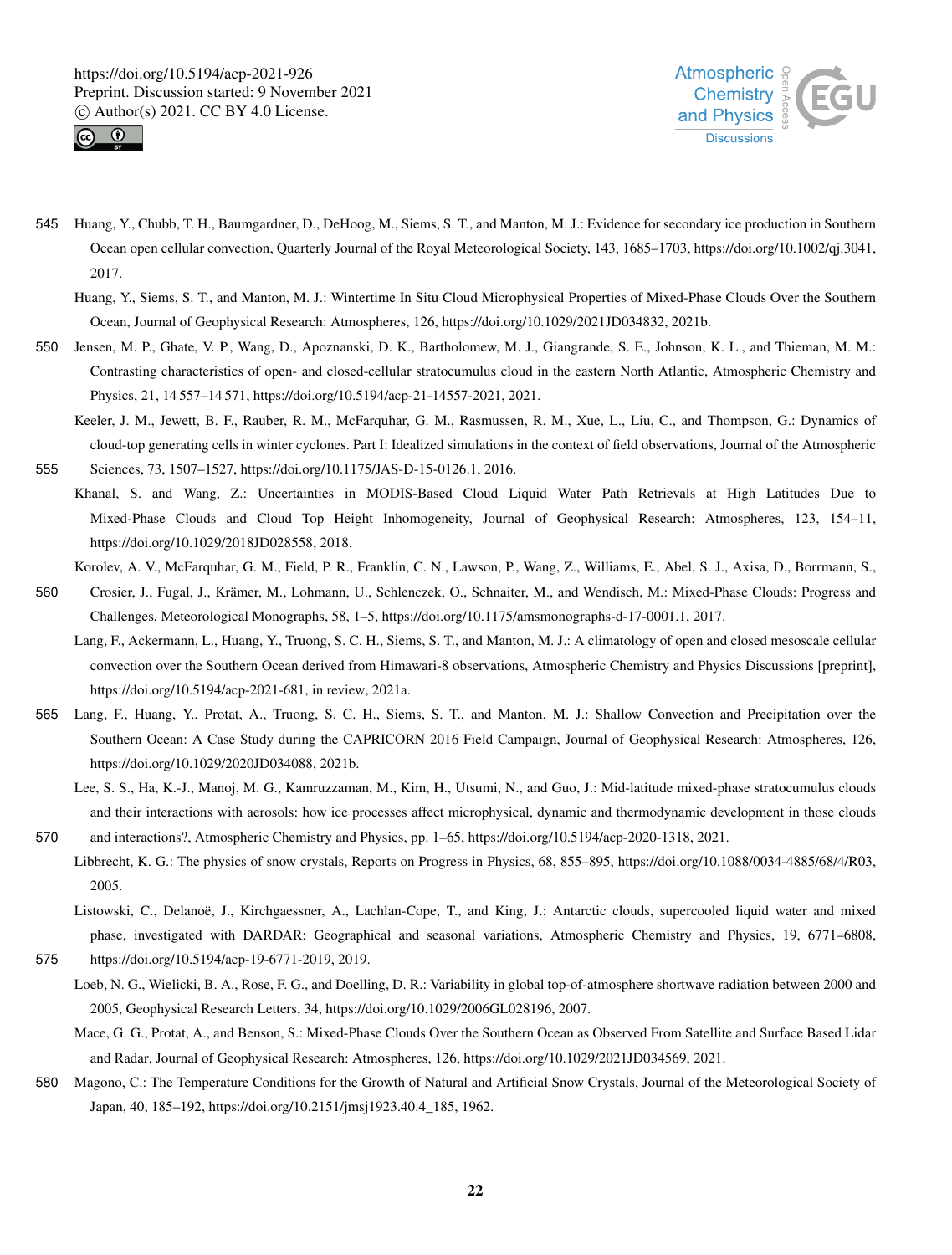



- 545 Huang, Y., Chubb, T. H., Baumgardner, D., DeHoog, M., Siems, S. T., and Manton, M. J.: Evidence for secondary ice production in Southern Ocean open cellular convection, Quarterly Journal of the Royal Meteorological Society, 143, 1685–1703, https://doi.org/10.1002/qj.3041, 2017.
	- Huang, Y., Siems, S. T., and Manton, M. J.: Wintertime In Situ Cloud Microphysical Properties of Mixed-Phase Clouds Over the Southern Ocean, Journal of Geophysical Research: Atmospheres, 126, https://doi.org/10.1029/2021JD034832, 2021b.
- 550 Jensen, M. P., Ghate, V. P., Wang, D., Apoznanski, D. K., Bartholomew, M. J., Giangrande, S. E., Johnson, K. L., and Thieman, M. M.: Contrasting characteristics of open- and closed-cellular stratocumulus cloud in the eastern North Atlantic, Atmospheric Chemistry and Physics, 21, 14 557–14 571, https://doi.org/10.5194/acp-21-14557-2021, 2021.
- Keeler, J. M., Jewett, B. F., Rauber, R. M., McFarquhar, G. M., Rasmussen, R. M., Xue, L., Liu, C., and Thompson, G.: Dynamics of cloud-top generating cells in winter cyclones. Part I: Idealized simulations in the context of field observations, Journal of the Atmospheric 555 Sciences, 73, 1507–1527, https://doi.org/10.1175/JAS-D-15-0126.1, 2016.
- Khanal, S. and Wang, Z.: Uncertainties in MODIS-Based Cloud Liquid Water Path Retrievals at High Latitudes Due to Mixed-Phase Clouds and Cloud Top Height Inhomogeneity, Journal of Geophysical Research: Atmospheres, 123, 154–11, https://doi.org/10.1029/2018JD028558, 2018.
	- Korolev, A. V., McFarquhar, G. M., Field, P. R., Franklin, C. N., Lawson, P., Wang, Z., Williams, E., Abel, S. J., Axisa, D., Borrmann, S.,
- 560 Crosier, J., Fugal, J., Krämer, M., Lohmann, U., Schlenczek, O., Schnaiter, M., and Wendisch, M.: Mixed-Phase Clouds: Progress and Challenges, Meteorological Monographs, 58, 1–5, https://doi.org/10.1175/amsmonographs-d-17-0001.1, 2017.
	- Lang, F., Ackermann, L., Huang, Y., Truong, S. C. H., Siems, S. T., and Manton, M. J.: A climatology of open and closed mesoscale cellular convection over the Southern Ocean derived from Himawari-8 observations, Atmospheric Chemistry and Physics Discussions [preprint], https://doi.org/10.5194/acp-2021-681, in review, 2021a.
- 565 Lang, F., Huang, Y., Protat, A., Truong, S. C. H., Siems, S. T., and Manton, M. J.: Shallow Convection and Precipitation over the Southern Ocean: A Case Study during the CAPRICORN 2016 Field Campaign, Journal of Geophysical Research: Atmospheres, 126, https://doi.org/10.1029/2020JD034088, 2021b.
- Lee, S. S., Ha, K.-J., Manoj, M. G., Kamruzzaman, M., Kim, H., Utsumi, N., and Guo, J.: Mid-latitude mixed-phase stratocumulus clouds and their interactions with aerosols: how ice processes affect microphysical, dynamic and thermodynamic development in those clouds 570 and interactions?, Atmospheric Chemistry and Physics, pp. 1–65, https://doi.org/10.5194/acp-2020-1318, 2021.
- Libbrecht, K. G.: The physics of snow crystals, Reports on Progress in Physics, 68, 855–895, https://doi.org/10.1088/0034-4885/68/4/R03, 2005.
- Listowski, C., Delanoë, J., Kirchgaessner, A., Lachlan-Cope, T., and King, J.: Antarctic clouds, supercooled liquid water and mixed phase, investigated with DARDAR: Geographical and seasonal variations, Atmospheric Chemistry and Physics, 19, 6771–6808, 575 https://doi.org/10.5194/acp-19-6771-2019, 2019.
	- Loeb, N. G., Wielicki, B. A., Rose, F. G., and Doelling, D. R.: Variability in global top-of-atmosphere shortwave radiation between 2000 and 2005, Geophysical Research Letters, 34, https://doi.org/10.1029/2006GL028196, 2007.
	- Mace, G. G., Protat, A., and Benson, S.: Mixed-Phase Clouds Over the Southern Ocean as Observed From Satellite and Surface Based Lidar and Radar, Journal of Geophysical Research: Atmospheres, 126, https://doi.org/10.1029/2021JD034569, 2021.
- 580 Magono, C.: The Temperature Conditions for the Growth of Natural and Artificial Snow Crystals, Journal of the Meteorological Society of Japan, 40, 185–192, https://doi.org/10.2151/jmsj1923.40.4\_185, 1962.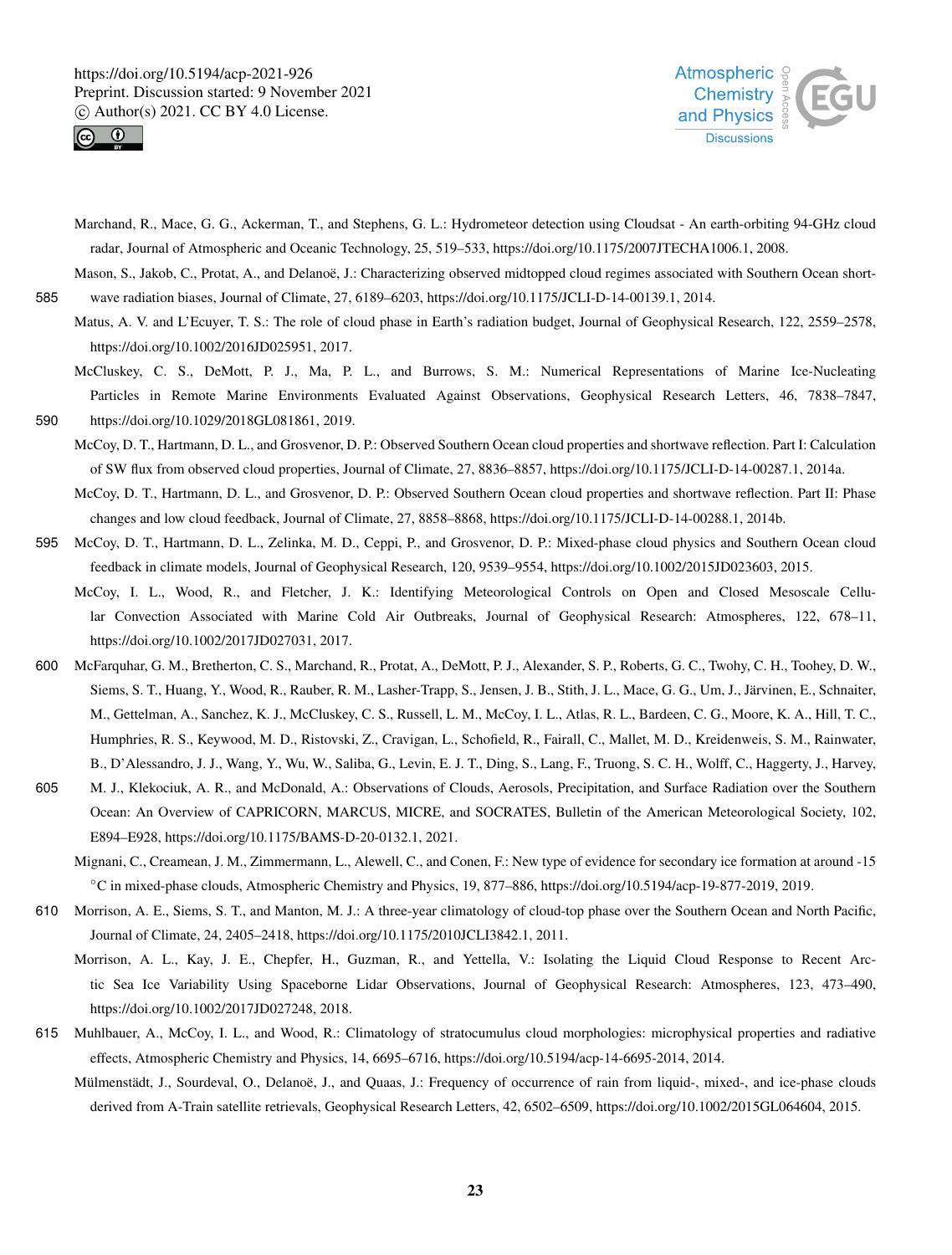



Marchand, R., Mace, G. G., Ackerman, T., and Stephens, G. L.: Hydrometeor detection using Cloudsat - An earth-orbiting 94-GHz cloud radar, Journal of Atmospheric and Oceanic Technology, 25, 519–533, https://doi.org/10.1175/2007JTECHA1006.1, 2008.

Mason, S., Jakob, C., Protat, A., and Delanoë, J.: Characterizing observed midtopped cloud regimes associated with Southern Ocean short-585 wave radiation biases, Journal of Climate, 27, 6189–6203, https://doi.org/10.1175/JCLI-D-14-00139.1, 2014.

- Matus, A. V. and L'Ecuyer, T. S.: The role of cloud phase in Earth's radiation budget, Journal of Geophysical Research, 122, 2559–2578, https://doi.org/10.1002/2016JD025951, 2017.
- McCluskey, C. S., DeMott, P. J., Ma, P. L., and Burrows, S. M.: Numerical Representations of Marine Ice-Nucleating Particles in Remote Marine Environments Evaluated Against Observations, Geophysical Research Letters, 46, 7838–7847, 590 https://doi.org/10.1029/2018GL081861, 2019.
	- McCoy, D. T., Hartmann, D. L., and Grosvenor, D. P.: Observed Southern Ocean cloud properties and shortwave reflection. Part I: Calculation of SW flux from observed cloud properties, Journal of Climate, 27, 8836–8857, https://doi.org/10.1175/JCLI-D-14-00287.1, 2014a.

McCoy, D. T., Hartmann, D. L., and Grosvenor, D. P.: Observed Southern Ocean cloud properties and shortwave reflection. Part II: Phase changes and low cloud feedback, Journal of Climate, 27, 8858–8868, https://doi.org/10.1175/JCLI-D-14-00288.1, 2014b.

- 595 McCoy, D. T., Hartmann, D. L., Zelinka, M. D., Ceppi, P., and Grosvenor, D. P.: Mixed-phase cloud physics and Southern Ocean cloud feedback in climate models, Journal of Geophysical Research, 120, 9539–9554, https://doi.org/10.1002/2015JD023603, 2015.
	- McCoy, I. L., Wood, R., and Fletcher, J. K.: Identifying Meteorological Controls on Open and Closed Mesoscale Cellular Convection Associated with Marine Cold Air Outbreaks, Journal of Geophysical Research: Atmospheres, 122, 678–11, https://doi.org/10.1002/2017JD027031, 2017.
- 600 McFarquhar, G. M., Bretherton, C. S., Marchand, R., Protat, A., DeMott, P. J., Alexander, S. P., Roberts, G. C., Twohy, C. H., Toohey, D. W., Siems, S. T., Huang, Y., Wood, R., Rauber, R. M., Lasher-Trapp, S., Jensen, J. B., Stith, J. L., Mace, G. G., Um, J., Järvinen, E., Schnaiter, M., Gettelman, A., Sanchez, K. J., McCluskey, C. S., Russell, L. M., McCoy, I. L., Atlas, R. L., Bardeen, C. G., Moore, K. A., Hill, T. C., Humphries, R. S., Keywood, M. D., Ristovski, Z., Cravigan, L., Schofield, R., Fairall, C., Mallet, M. D., Kreidenweis, S. M., Rainwater, B., D'Alessandro, J. J., Wang, Y., Wu, W., Saliba, G., Levin, E. J. T., Ding, S., Lang, F., Truong, S. C. H., Wolff, C., Haggerty, J., Harvey,
- 605 M. J., Klekociuk, A. R., and McDonald, A.: Observations of Clouds, Aerosols, Precipitation, and Surface Radiation over the Southern Ocean: An Overview of CAPRICORN, MARCUS, MICRE, and SOCRATES, Bulletin of the American Meteorological Society, 102, E894–E928, https://doi.org/10.1175/BAMS-D-20-0132.1, 2021.
	- Mignani, C., Creamean, J. M., Zimmermann, L., Alewell, C., and Conen, F.: New type of evidence for secondary ice formation at around -15 ◦C in mixed-phase clouds, Atmospheric Chemistry and Physics, 19, 877–886, https://doi.org/10.5194/acp-19-877-2019, 2019.
- 610 Morrison, A. E., Siems, S. T., and Manton, M. J.: A three-year climatology of cloud-top phase over the Southern Ocean and North Pacific, Journal of Climate, 24, 2405–2418, https://doi.org/10.1175/2010JCLI3842.1, 2011.
	- Morrison, A. L., Kay, J. E., Chepfer, H., Guzman, R., and Yettella, V.: Isolating the Liquid Cloud Response to Recent Arctic Sea Ice Variability Using Spaceborne Lidar Observations, Journal of Geophysical Research: Atmospheres, 123, 473–490, https://doi.org/10.1002/2017JD027248, 2018.
- 615 Muhlbauer, A., McCoy, I. L., and Wood, R.: Climatology of stratocumulus cloud morphologies: microphysical properties and radiative effects, Atmospheric Chemistry and Physics, 14, 6695–6716, https://doi.org/10.5194/acp-14-6695-2014, 2014.
	- Mülmenstädt, J., Sourdeval, O., Delanoë, J., and Quaas, J.: Frequency of occurrence of rain from liquid-, mixed-, and ice-phase clouds derived from A-Train satellite retrievals, Geophysical Research Letters, 42, 6502–6509, https://doi.org/10.1002/2015GL064604, 2015.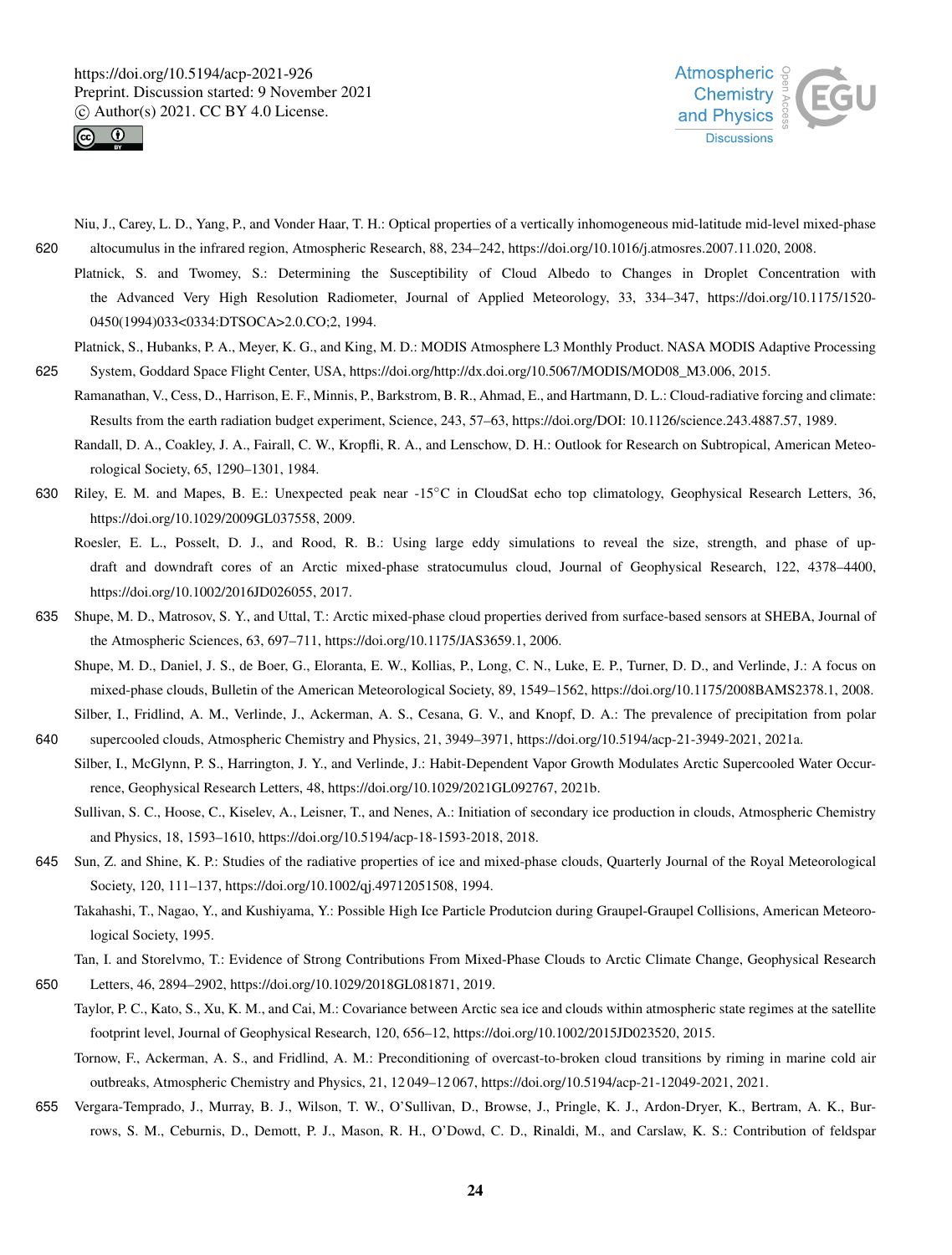



- Niu, J., Carey, L. D., Yang, P., and Vonder Haar, T. H.: Optical properties of a vertically inhomogeneous mid-latitude mid-level mixed-phase 620 altocumulus in the infrared region, Atmospheric Research, 88, 234–242, https://doi.org/10.1016/j.atmosres.2007.11.020, 2008.
	- Platnick, S. and Twomey, S.: Determining the Susceptibility of Cloud Albedo to Changes in Droplet Concentration with the Advanced Very High Resolution Radiometer, Journal of Applied Meteorology, 33, 334–347, https://doi.org/10.1175/1520- 0450(1994)033<0334:DTSOCA>2.0.CO;2, 1994.
- Platnick, S., Hubanks, P. A., Meyer, K. G., and King, M. D.: MODIS Atmosphere L3 Monthly Product. NASA MODIS Adaptive Processing 625 System, Goddard Space Flight Center, USA, https://doi.org/http://dx.doi.org/10.5067/MODIS/MOD08\_M3.006, 2015.
	- Ramanathan, V., Cess, D., Harrison, E. F., Minnis, P., Barkstrom, B. R., Ahmad, E., and Hartmann, D. L.: Cloud-radiative forcing and climate: Results from the earth radiation budget experiment, Science, 243, 57–63, https://doi.org/DOI: 10.1126/science.243.4887.57, 1989.
		- Randall, D. A., Coakley, J. A., Fairall, C. W., Kropfli, R. A., and Lenschow, D. H.: Outlook for Research on Subtropical, American Meteorological Society, 65, 1290–1301, 1984.
- 630 Riley, E. M. and Mapes, B. E.: Unexpected peak near -15℃ in CloudSat echo top climatology, Geophysical Research Letters, 36, https://doi.org/10.1029/2009GL037558, 2009.
	- Roesler, E. L., Posselt, D. J., and Rood, R. B.: Using large eddy simulations to reveal the size, strength, and phase of updraft and downdraft cores of an Arctic mixed-phase stratocumulus cloud, Journal of Geophysical Research, 122, 4378–4400, https://doi.org/10.1002/2016JD026055, 2017.
- 635 Shupe, M. D., Matrosov, S. Y., and Uttal, T.: Arctic mixed-phase cloud properties derived from surface-based sensors at SHEBA, Journal of the Atmospheric Sciences, 63, 697–711, https://doi.org/10.1175/JAS3659.1, 2006.
	- Shupe, M. D., Daniel, J. S., de Boer, G., Eloranta, E. W., Kollias, P., Long, C. N., Luke, E. P., Turner, D. D., and Verlinde, J.: A focus on mixed-phase clouds, Bulletin of the American Meteorological Society, 89, 1549–1562, https://doi.org/10.1175/2008BAMS2378.1, 2008. Silber, I., Fridlind, A. M., Verlinde, J., Ackerman, A. S., Cesana, G. V., and Knopf, D. A.: The prevalence of precipitation from polar
- 640 supercooled clouds, Atmospheric Chemistry and Physics, 21, 3949–3971, https://doi.org/10.5194/acp-21-3949-2021, 2021a.
	- Silber, I., McGlynn, P. S., Harrington, J. Y., and Verlinde, J.: Habit-Dependent Vapor Growth Modulates Arctic Supercooled Water Occurrence, Geophysical Research Letters, 48, https://doi.org/10.1029/2021GL092767, 2021b.
		- Sullivan, S. C., Hoose, C., Kiselev, A., Leisner, T., and Nenes, A.: Initiation of secondary ice production in clouds, Atmospheric Chemistry and Physics, 18, 1593–1610, https://doi.org/10.5194/acp-18-1593-2018, 2018.
- 645 Sun, Z. and Shine, K. P.: Studies of the radiative properties of ice and mixed-phase clouds, Quarterly Journal of the Royal Meteorological Society, 120, 111–137, https://doi.org/10.1002/qj.49712051508, 1994.

Takahashi, T., Nagao, Y., and Kushiyama, Y.: Possible High Ice Particle Produtcion during Graupel-Graupel Collisions, American Meteorological Society, 1995.

Tan, I. and Storelvmo, T.: Evidence of Strong Contributions From Mixed-Phase Clouds to Arctic Climate Change, Geophysical Research

- 650 Letters, 46, 2894–2902, https://doi.org/10.1029/2018GL081871, 2019.
	- Taylor, P. C., Kato, S., Xu, K. M., and Cai, M.: Covariance between Arctic sea ice and clouds within atmospheric state regimes at the satellite footprint level, Journal of Geophysical Research, 120, 656–12, https://doi.org/10.1002/2015JD023520, 2015.
		- Tornow, F., Ackerman, A. S., and Fridlind, A. M.: Preconditioning of overcast-to-broken cloud transitions by riming in marine cold air outbreaks, Atmospheric Chemistry and Physics, 21, 12 049–12 067, https://doi.org/10.5194/acp-21-12049-2021, 2021.
- 655 Vergara-Temprado, J., Murray, B. J., Wilson, T. W., O'Sullivan, D., Browse, J., Pringle, K. J., Ardon-Dryer, K., Bertram, A. K., Burrows, S. M., Ceburnis, D., Demott, P. J., Mason, R. H., O'Dowd, C. D., Rinaldi, M., and Carslaw, K. S.: Contribution of feldspar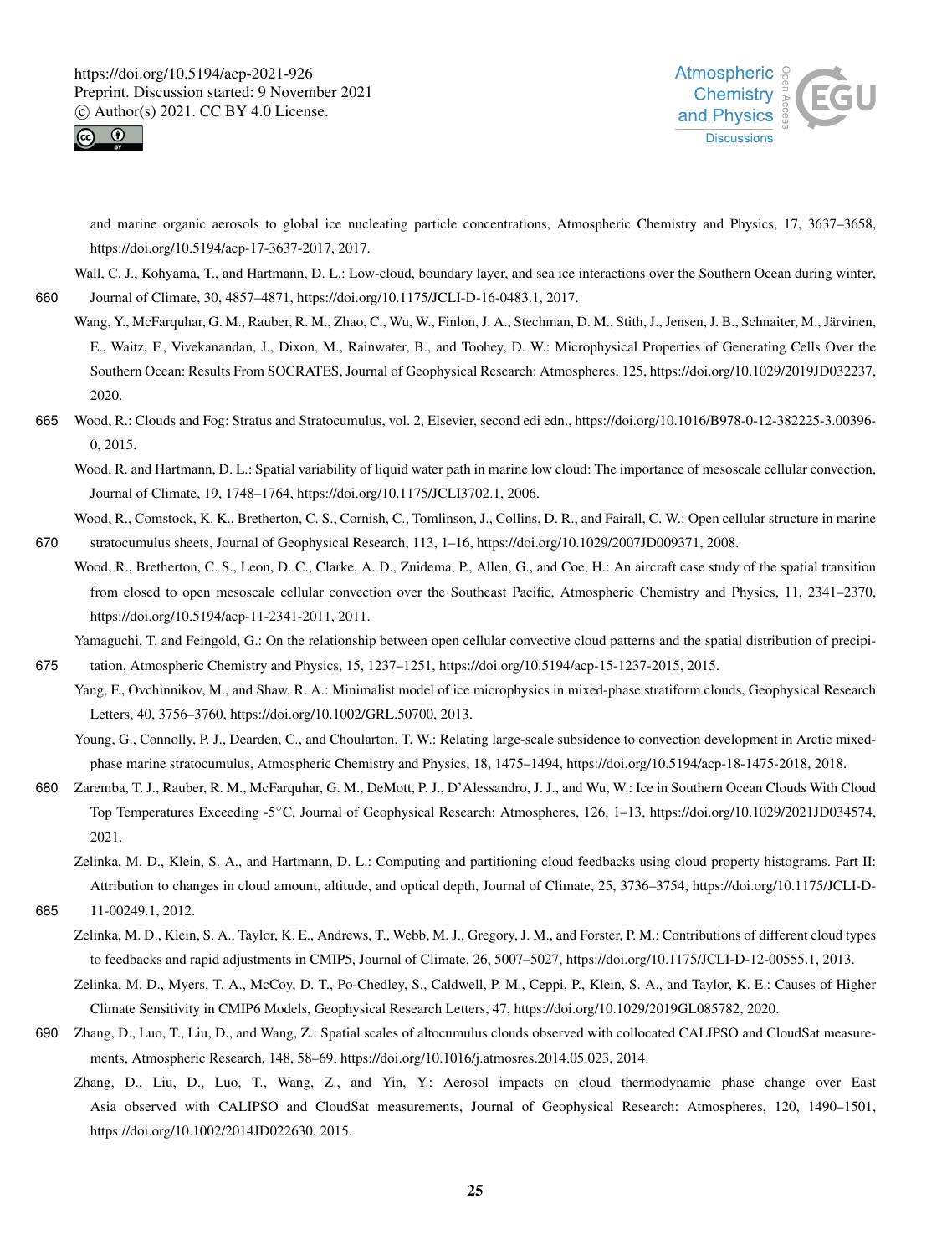



and marine organic aerosols to global ice nucleating particle concentrations, Atmospheric Chemistry and Physics, 17, 3637–3658, https://doi.org/10.5194/acp-17-3637-2017, 2017.

Wall, C. J., Kohyama, T., and Hartmann, D. L.: Low-cloud, boundary layer, and sea ice interactions over the Southern Ocean during winter, 660 Journal of Climate, 30, 4857–4871, https://doi.org/10.1175/JCLI-D-16-0483.1, 2017.

- Wang, Y., McFarquhar, G. M., Rauber, R. M., Zhao, C., Wu, W., Finlon, J. A., Stechman, D. M., Stith, J., Jensen, J. B., Schnaiter, M., Järvinen, E., Waitz, F., Vivekanandan, J., Dixon, M., Rainwater, B., and Toohey, D. W.: Microphysical Properties of Generating Cells Over the Southern Ocean: Results From SOCRATES, Journal of Geophysical Research: Atmospheres, 125, https://doi.org/10.1029/2019JD032237, 2020.
- 665 Wood, R.: Clouds and Fog: Stratus and Stratocumulus, vol. 2, Elsevier, second edi edn., https://doi.org/10.1016/B978-0-12-382225-3.00396- 0, 2015.

Wood, R. and Hartmann, D. L.: Spatial variability of liquid water path in marine low cloud: The importance of mesoscale cellular convection, Journal of Climate, 19, 1748–1764, https://doi.org/10.1175/JCLI3702.1, 2006.

Wood, R., Comstock, K. K., Bretherton, C. S., Cornish, C., Tomlinson, J., Collins, D. R., and Fairall, C. W.: Open cellular structure in marine 670 stratocumulus sheets, Journal of Geophysical Research, 113, 1–16, https://doi.org/10.1029/2007JD009371, 2008.

Wood, R., Bretherton, C. S., Leon, D. C., Clarke, A. D., Zuidema, P., Allen, G., and Coe, H.: An aircraft case study of the spatial transition from closed to open mesoscale cellular convection over the Southeast Pacific, Atmospheric Chemistry and Physics, 11, 2341–2370, https://doi.org/10.5194/acp-11-2341-2011, 2011.

Yamaguchi, T. and Feingold, G.: On the relationship between open cellular convective cloud patterns and the spatial distribution of precipi-

675 tation, Atmospheric Chemistry and Physics, 15, 1237–1251, https://doi.org/10.5194/acp-15-1237-2015, 2015.

Yang, F., Ovchinnikov, M., and Shaw, R. A.: Minimalist model of ice microphysics in mixed-phase stratiform clouds, Geophysical Research Letters, 40, 3756–3760, https://doi.org/10.1002/GRL.50700, 2013.

Young, G., Connolly, P. J., Dearden, C., and Choularton, T. W.: Relating large-scale subsidence to convection development in Arctic mixedphase marine stratocumulus, Atmospheric Chemistry and Physics, 18, 1475–1494, https://doi.org/10.5194/acp-18-1475-2018, 2018.

680 Zaremba, T. J., Rauber, R. M., McFarquhar, G. M., DeMott, P. J., D'Alessandro, J. J., and Wu, W.: Ice in Southern Ocean Clouds With Cloud Top Temperatures Exceeding -5◦C, Journal of Geophysical Research: Atmospheres, 126, 1–13, https://doi.org/10.1029/2021JD034574, 2021.

Zelinka, M. D., Klein, S. A., and Hartmann, D. L.: Computing and partitioning cloud feedbacks using cloud property histograms. Part II: Attribution to changes in cloud amount, altitude, and optical depth, Journal of Climate, 25, 3736–3754, https://doi.org/10.1175/JCLI-D-

685 11-00249.1, 2012.

Zelinka, M. D., Klein, S. A., Taylor, K. E., Andrews, T., Webb, M. J., Gregory, J. M., and Forster, P. M.: Contributions of different cloud types to feedbacks and rapid adjustments in CMIP5, Journal of Climate, 26, 5007–5027, https://doi.org/10.1175/JCLI-D-12-00555.1, 2013.

Zelinka, M. D., Myers, T. A., McCoy, D. T., Po-Chedley, S., Caldwell, P. M., Ceppi, P., Klein, S. A., and Taylor, K. E.: Causes of Higher Climate Sensitivity in CMIP6 Models, Geophysical Research Letters, 47, https://doi.org/10.1029/2019GL085782, 2020.

- 690 Zhang, D., Luo, T., Liu, D., and Wang, Z.: Spatial scales of altocumulus clouds observed with collocated CALIPSO and CloudSat measurements, Atmospheric Research, 148, 58–69, https://doi.org/10.1016/j.atmosres.2014.05.023, 2014.
	- Zhang, D., Liu, D., Luo, T., Wang, Z., and Yin, Y.: Aerosol impacts on cloud thermodynamic phase change over East Asia observed with CALIPSO and CloudSat measurements, Journal of Geophysical Research: Atmospheres, 120, 1490–1501, https://doi.org/10.1002/2014JD022630, 2015.